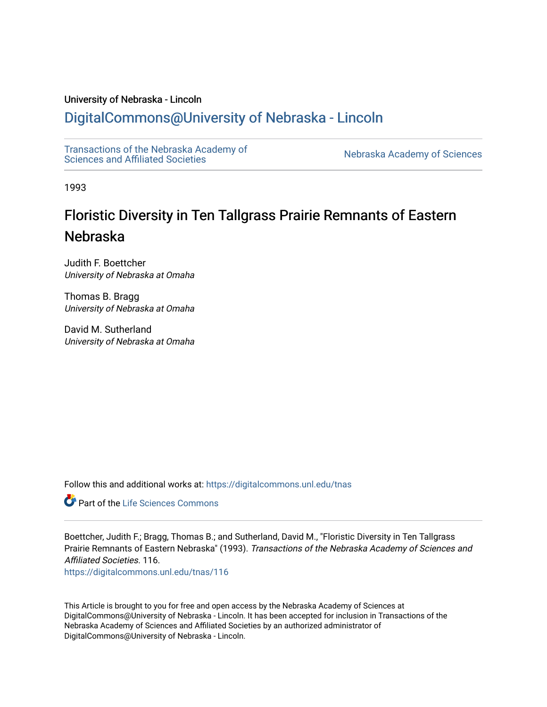# University of Nebraska - Lincoln

# [DigitalCommons@University of Nebraska - Lincoln](https://digitalcommons.unl.edu/)

[Transactions of the Nebraska Academy of](https://digitalcommons.unl.edu/tnas)  Transactions of the Nebraska Academy of Sciences<br>Sciences and Affiliated Societies

1993

# Floristic Diversity in Ten Tallgrass Prairie Remnants of Eastern Nebraska

Judith F. Boettcher University of Nebraska at Omaha

Thomas B. Bragg University of Nebraska at Omaha

David M. Sutherland University of Nebraska at Omaha

Follow this and additional works at: [https://digitalcommons.unl.edu/tnas](https://digitalcommons.unl.edu/tnas?utm_source=digitalcommons.unl.edu%2Ftnas%2F116&utm_medium=PDF&utm_campaign=PDFCoverPages) 

**C** Part of the Life Sciences Commons

Boettcher, Judith F.; Bragg, Thomas B.; and Sutherland, David M., "Floristic Diversity in Ten Tallgrass Prairie Remnants of Eastern Nebraska" (1993). Transactions of the Nebraska Academy of Sciences and Affiliated Societies. 116.

[https://digitalcommons.unl.edu/tnas/116](https://digitalcommons.unl.edu/tnas/116?utm_source=digitalcommons.unl.edu%2Ftnas%2F116&utm_medium=PDF&utm_campaign=PDFCoverPages) 

This Article is brought to you for free and open access by the Nebraska Academy of Sciences at DigitalCommons@University of Nebraska - Lincoln. It has been accepted for inclusion in Transactions of the Nebraska Academy of Sciences and Affiliated Societies by an authorized administrator of DigitalCommons@University of Nebraska - Lincoln.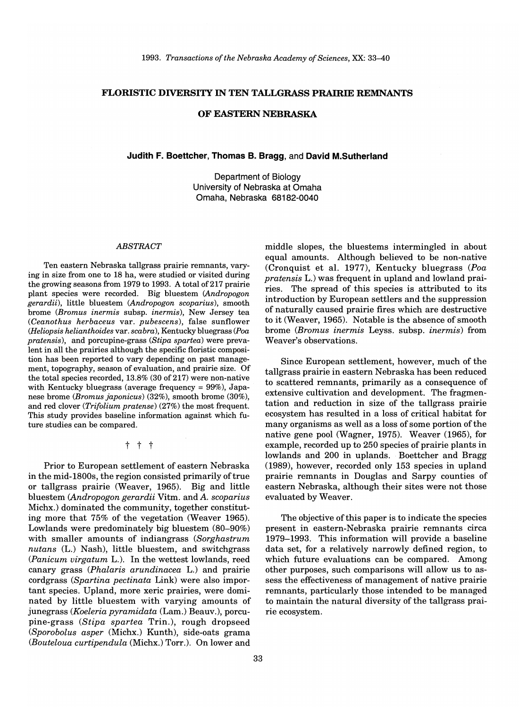# **FLORISTIC DIVERSITY IN TEN TALLGRASS PRAIRIE REMNANTS**

#### **OF EASTERN NEBRASKA**

#### **Judith F. Boettcher, Thomas B. Bragg,** and **David M.Sutherland**

Department of Biology University of Nebraska at Omaha Omaha, Nebraska 68182-0040

#### *ABSTRACT*

Ten eastern Nebraska tallgrass prairie remnants, varying in size from one to 18 ha, were studied or visited during the growing seasons from 1979 to 1993. A total of 217 prairie plant species were recorded. Big bluestem *(Andropogon gerardii),* little bluestem *(Andropogon scoparius),* smooth brome *(Bromus inermis* subsp. *inermis),* New Jersey tea *(Ceanothus herbaceus* var. *pubescens),* false sunflower *(Heliopsis helianthoides* var. *scabra),* Kentucky bluegrass *(Poa pratensis),* and porcupine-grass *(Stipa spartea)* were prevalent in all the prairies although the specific floristic composition has been reported to vary depending on past management, topography, season of evaluation, and prairie size. Of the total species recorded,  $13.8\%$  (30 of 217) were non-native with Kentucky bluegrass (average frequency = 99%), Japanese brome *(Bromus japonicus)* (32%), smooth brome (30%), and red clover *(Trifolium pratense)* (27%) the most frequent. This study provides baseline information against which future studies can be compared.

t t t

Prior to European settlement of eastern Nebraska in the mid-1800s, the region consisted primarily of true or tallgrass prairie (Weaver, 1965). Big and little bluestem *<Andropogon gerardii* Vitm. and *A. scoparius*  Michx.) dominated the community, together constituting more that 75% of the vegetation (Weaver 1965). Lowlands were predominately big bluestem (80-90%) with smaller amounts of indiangrass *(Sorghastrum nutans* (L.) Nash), little bluestem, and switchgrass *(Panicum virgatum* L.). In the wettest lowlands, reed canary grass *(Phalaris arundinacea* L.) and prairie cordgrass *(Spartina pectinata* Link) were also important species. Upland, more xeric prairies, were dominated by little bluestem with varying amounts of junegrass *(Koeleria pyramidata* (Lam.) Beauv.), porcupine-grass *(Stipa spartea* Trin.), rough dropseed *(Sporobolus asper* (Michx.) Kunth), side-oats grama *(Bouteloua curtipendula* (Michx.) Torr.). On lower and

middle slopes, the bluestems intermingled in about equal amounts. Although believed to be non-native (Cronquist et a1. 1977), Kentucky bluegrass *(Poa pratensis* L.) was frequent in upland and lowland prairies. The spread of this species is attributed to its introduction by European settlers and the suppression of naturally caused prairie fires which are destructive to it (Weaver, 1965). Notable is the absence of smooth brome *(Bromus inermis* Leyss. subsp. *inermis)* from Weaver's observations.

Since European settlement, however, much of the tallgrass prairie in eastern Nebraska has been reduced to scattered remnants, primarily as a consequence of extensive cultivation and development. The fragmentation and reduction in size of the tallgrass prairie ecosystem has resulted in a loss of critical habitat for many organisms as well as a loss of some portion of the native gene pool (Wagner, 1975). Weaver (1965), for example, recorded up to 250 species of prairie plants in lowlands and 200 in uplands. Boettcher and Bragg (1989), however, recorded only 153 species in upland prairie remnants in Douglas and Sarpy counties of eastern Nebraska, although their sites were not those evaluated by Weaver.

The objective of this paper is to indicate the species present in eastern-Nebraska prairie remnants circa 1979-1993. This information will provide a baseline data set, for a relatively narrowly defined region, to which future evaluations can be compared. Among other purposes, such comparisons will allow us to assess the effectiveness of management of native prairie remnants, particularly those intended to be managed to maintain the natural diversity of the tallgrass prairie ecosystem.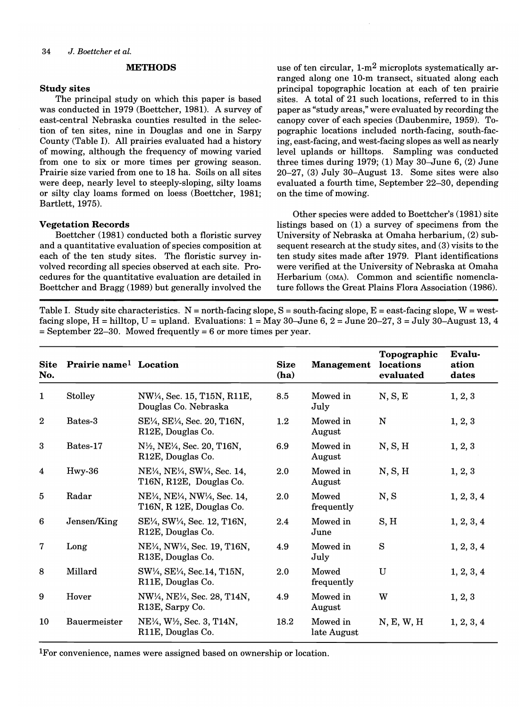#### **METHODS**

#### **Study sites**

The principal study on which this paper is based was conducted in 1979 (Boettcher, 1981). A survey of east-central Nebraska counties resulted in the selection of ten sites, nine in Douglas and one in Sarpy County (Table I). All prairies evaluated had a history of mowing, although the frequency of mowing varied from one to six or more times per growing season. Prairie size varied from one to 18 ha. Soils on all sites were deep, nearly level to steeply-sloping, silty loams or silty clay loams formed on loess (Boettcher, 1981; Bartlett, 1975).

#### **Vegetation Records**

Boettcher (1981) conducted both a floristic survey and a quantitative evaluation of species composition at each of the ten study sites. The floristic survey involved recording all species observed at each site. Procedures for the quantitative evaluation are detailed in Boettcher and Bragg (1989) but generally involved the

use of ten circular,  $1-m^2$  microplots systematically arranged along one 10-m transect, situated along each principal topographic location at each of ten prairie sites. A total of 21 such locations, referred to in this paper as "study areas," were evaluated by recording the canopy cover of each species (Daubenmire, 1959). Topographic locations included north-facing, south-facing, east-facing, and west-facing slopes as well as nearly level uplands or hilltops. Sampling was conducted three times during 1979; (1) May 30-June 6, (2) June 20-27, (3) July 30-August 13. Some sites were also evaluated a fourth time, September 22-30, depending on the time of mowing.

Other species were added to Boettcher's (1981) site listings based on (1) a survey of specimens from the University of Nebraska at Omaha herbarium, (2) subsequent research at the study sites, and (3) visits to the ten study sites made after 1979. Plant identifications were verified at the University of Nebraska at Omaha Herbarium (OMA). Common and scientific nomenclature follows the Great Plains Flora Association (1986).

Table I. Study site characteristics.  $N =$  north-facing slope,  $S =$  south-facing slope,  $E =$  east-facing slope,  $W =$  westfacing slope, H = hilltop, U = upland. Evaluations:  $1 =$  May 30-June 6,  $2 =$  June 20-27,  $3 =$  July 30-August 13, 4  $=$  September 22–30. Mowed frequently  $= 6$  or more times per year.

| <b>Site</b><br>No. | <b>Prairie name<sup>1</sup></b> Location |                                                                                                                                         | <b>Size</b><br>(ha) | <b>Management</b>       | Topographic<br>locations<br>evaluated | Evalu-<br>ation<br>dates |
|--------------------|------------------------------------------|-----------------------------------------------------------------------------------------------------------------------------------------|---------------------|-------------------------|---------------------------------------|--------------------------|
| $\mathbf{1}$       | Stolley                                  | NW <sup>1</sup> / <sub>4</sub> , Sec. 15, T15N, R11E,<br>Douglas Co. Nebraska                                                           | 8.5                 | Mowed in<br>July        | N, S, E                               | 1, 2, 3                  |
| $\boldsymbol{2}$   | Bates-3                                  | SE1/4, SE1/4, Sec. 20, T16N,<br>R12E, Douglas Co.                                                                                       | $1.2\,$             | Mowed in<br>August      | N                                     | 1, 2, 3                  |
| 3                  | Bates-17                                 | N <sup>1</sup> / <sub>2</sub> , NE <sup>1</sup> / <sub>4</sub> , Sec. 20, T16N,<br>R12E, Douglas Co.                                    | 6.9                 | Mowed in<br>August      | N, S, H                               | 1, 2, 3                  |
| 4                  | Hwy-36                                   | NE <sup>1</sup> / <sub>4</sub> , NE <sup>1</sup> / <sub>4</sub> , SW <sup>1</sup> / <sub>4</sub> , Sec. 14,<br>T16N, R12E, Douglas Co.  | 2.0                 | Mowed in<br>August      | N, S, H                               | 1, 2, 3                  |
| 5                  | Radar                                    | NE <sup>1</sup> / <sub>4</sub> , NE <sup>1</sup> / <sub>4</sub> , NW <sup>1</sup> / <sub>4</sub> , Sec. 14,<br>T16N, R 12E, Douglas Co. | 2.0                 | Mowed<br>frequently     | N, S                                  | 1, 2, 3, 4               |
| 6                  | Jensen/King                              | SE <sup>1</sup> / <sub>4</sub> , SW <sup>1</sup> / <sub>4</sub> , Sec. 12, T16N,<br>R12E, Douglas Co.                                   | 2.4                 | Mowed in<br>June        | S, H                                  | 1, 2, 3, 4               |
| $\mathbf 7$        | Long                                     | NE <sup>1</sup> / <sub>4</sub> , NW <sup>1</sup> / <sub>4</sub> , Sec. 19, T16N,<br>R13E, Douglas Co.                                   | 4.9                 | Mowed in<br>July        | S                                     | 1, 2, 3, 4               |
| 8                  | Millard                                  | SW1/4, SE1/4, Sec.14, T15N,<br>R11E, Douglas Co.                                                                                        | 2.0                 | Mowed<br>frequently     | $\mathbf U$                           | 1, 2, 3, 4               |
| 9                  | Hover                                    | NW <sup>1</sup> / <sub>4</sub> , NE <sup>1</sup> / <sub>4</sub> , Sec. 28, T14N,<br>R <sub>13</sub> E, Sarpy Co.                        | 4.9                 | Mowed in<br>August      | W                                     | 1, 2, 3                  |
| 10                 | <b>Bauermeister</b>                      | NE <sup>1</sup> / <sub>4</sub> , W <sup>1</sup> / <sub>2</sub> , Sec. 3, T14N,<br>R11E, Douglas Co.                                     | 18.2                | Mowed in<br>late August | N, E, W, H                            | 1, 2, 3, 4               |

I For convenience, names were assigned based on ownership or location.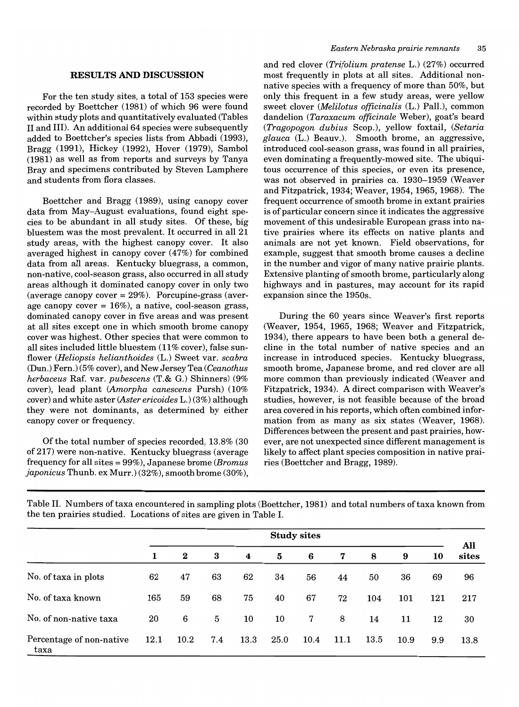#### **RESULTS AND DISCUSSION**

For the ten study sites, a total of 153 species were recorded by Boettcher (1981) of which 96 were found within study plots and quantitatively evaluated (Tables II and III). An additional 64 species were subsequently added to Boettcher's species lists from Abbadi (1993), Bragg (1991), Hickey (1992), Hover (1979), Sambol (1981) as well as from reports and surveys by Tanya Bray and specimens contributed by Steven Lamphere and students from flora classes.

Boettcher and Bragg (1989), using canopy cover data from May-August evaluations, found eight species to be abundant in all study sites. Of these, big bluestem was the most prevalent. It occurred in all 21 study areas, with the highest canopy cover. It also averaged highest in canopy cover (47%) for combined data from all areas. Kentucky bluegrass, a common, non-native, cool-season grass, also occurred in all study areas although it dominated canopy cover in only two (average canopy cover  $= 29\%$ ). Porcupine-grass (average canopy cover  $= 16\%$ ), a native, cool-season grass, dominated canopy cover in five areas and was present at all sites except one in which smooth brome canopy cover was highest. Other species that were common to all sites included little bluestem  $(11\% \text{ cover})$ , false sunflower *(Heliopsis helianthoides* (L.) Sweet var. *scabra*  (Dun.) Fern.) (5% cover), and New Jersey Tea *(Ceanothus herbaceus* Raf. var. *pubescens* (T.& G.) Shinners) (9% cover), lead plant *(Amorpha canescens* Pursh) (10% cover) and white aster *(Aster ericoides* L.) (3%) although they were not dominants, as determined by either canopy cover or frequency.

Of the total number of species recorded, 13.8% (30 of 217) were non-native. Kentucky bluegrass (average frequency for all sites = 99%), Japanese brome *(Bromus japonicus* Thunb. ex Murr.) (32%), smooth brome (30%),

and red clover *(Trifolium pratense* L.) (27%) occurred most frequently in plots at all sites. Additional nonnative species with a frequency of more than 50%, but only this frequent in a few study areas, were yellow sweet clover *(Melilotus officinalis* (L.) Pall.), common dandelion *(Taraxacum officinale* Weber), goat's beard *(Tragopogon dubius* Scop.), yellow foxtail, *(Setaria glauca* (L.) Beauv.). Smooth brome, an aggressive, introduced cool-season grass, was found in all prairies, even dominating a frequently-mowed site. The ubiquitous occurrence of this species, or even its presence, was not observed in prairies ca. 1930-1959 (Weaver and Fitzpatrick, 1934; Weaver, 1954, 1965, 1968). The frequent occurrence of smooth brome in extant prairies is of particular concern since it indicates the aggressive movement of this undesirable European grass into native prairies where its effects on native plants and animals are not yet known. Field observations, for example, suggest that smooth brome causes a decline in the number and vigor of many native prairie plants. Extensive planting of smooth brome, particularly along highways and in pastures, may account for its rapid expansion since the 1950s.

During the 60 years since Weaver's first reports (Weaver, 1954, 1965, 1968; Weaver and Fitzpatrick, 1934), there appears to have been both a general decline in the total number of native species and an increase in introduced species. Kentucky bluegrass, smooth brome, Japanese brome, and red clover are all more common than previously indicated (Weaver and Fitzpatrick, 1934). A direct comparison with Weaver's studies, however, is not feasible because of the broad area covered in his reports, which often combined information from as many as six states (Weaver, 1968). Differences between the present and past prairies, however, are not unexpected since different management is likely to affect plant species composition in native prairies (Boettcher and Bragg, 1989).

Table II. Numbers oftaxa encountered in sampling plots (Boettcher, 1981) and total numbers of taxa known from the ten prairies studied. Locations of sites are given in Table I.

|                                  | <b>Study sites</b> |          |     |                  |      |      |      |      |      |     |              |  |
|----------------------------------|--------------------|----------|-----|------------------|------|------|------|------|------|-----|--------------|--|
|                                  | 1                  | $\bf{2}$ | 3   | $\boldsymbol{4}$ | 5    | 6    | 7    | 8    | 9    | 10  | All<br>sites |  |
| No. of taxa in plots             | 62                 | 47       | 63  | 62               | 34   | 56   | 44   | 50   | 36   | 69  | 96           |  |
| No. of taxa known                | 165                | 59       | 68  | 75               | 40   | 67   | 72   | 104  | 101  | 121 | 217          |  |
| No. of non-native taxa           | 20                 | 6        | 5   | 10               | 10   | 7    | 8    | 14   | 11   | 12  | 30           |  |
| Percentage of non-native<br>taxa | 12.1               | 10.2     | 7.4 | 13.3             | 25.0 | 10.4 | 11.1 | 13.5 | 10.9 | 9.9 | 13.8         |  |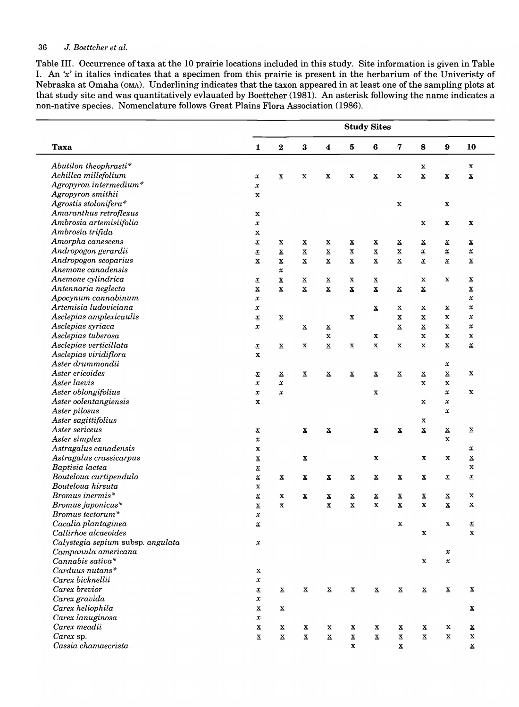#### *36* J. *Boettcher et al.*

Table III. Occurrence oftaxa at the 10 prairie locations included in this study. Site information is given in Table I. An 'x' in italics indicates that a specimen from this prairie is present in the herbarium of the Univeristy of Nebraska at Omaha (OMA). Underlining indicates that the taxon appeared in at least one of the sampling plots at that study site and was quantitatively evlauated by Boettcher (1981). An asterisk following the name indicates a non-native species. Nomenclature follows Great Plains Flora Association (1986).

| $\bf{3}$<br>${\bf 5}$<br>$\bf{6}$<br>7<br>$\bf 8$<br>Taxa<br>$\bf{2}$<br>$\boldsymbol{4}$<br>$\pmb{9}$<br>$\mathbf{1}$<br>Abutilon theophrasti*<br>x<br>Achillea millefolium<br>$\underline{\mathbf{x}}$<br>$\underline{\mathbf{X}}$<br>$\mathbf x$<br>$\underline{\mathbf{x}}$<br>$\underline{\mathbf{x}}$<br>$\underline{\mathbf{x}}$<br>$\mathbf x$<br>$\underline{\mathbf{x}}$<br>$\underline{\mathbf{x}}$<br>Agropyron intermedium*<br>$\pmb{\mathcal{X}}$<br>Agropyron smithii<br>x<br>Agrostis stolonifera*<br>$\mathbf x$<br>$\mathbf x$<br>Amaranthus retroflexus<br>$\mathbf x$<br>Ambrosia artemisiifolia<br>$\pmb{\mathcal{X}}$<br>$\mathbf x$<br>X<br>Ambrosia trifida<br>$\mathbf x$<br>Amorpha canescens<br>$\underline{x}$<br>$\underline{\mathbf{x}}$<br>$\underline{\mathbf{x}}$<br>$\underline{\mathbf{x}}$<br>$\underline{x}$<br>$\overline{\mathbf{x}}$<br>$\overline{\mathbf{x}}$<br>$\overline{\mathbf{x}}$<br>$\overline{\mathbf{x}}$<br>Andropogon gerardii<br>$\underline{\mathbf{x}}$<br>$\underline{\mathbf{x}}$<br>$\underline{\mathbf{X}}$<br>$\underline{x}$<br>$\underline{x}$<br>$\underline{\mathbf{x}}$<br>$\underline{\mathbf{x}}$<br>$\underline{\mathbf{x}}$<br>$\underline{\mathbf{x}}$<br>Andropogon scoparius<br>$\underline{\mathbf{x}}$<br>$\underline{\mathbf{x}}$<br>$\underline{\mathbf{X}}$<br>$\underline{\mathbf{x}}$<br>$\underline{\mathbf{x}}$<br>$\underline{\mathbf{x}}$<br>$\underline{\mathbf{x}}$<br>$\underline{\mathbf{x}}$<br>$\underline{x}$<br>Anemone canadensis<br>$\pmb{\mathcal{X}}$<br>Anemone cylindrica<br>$\underline{\mathbf{x}}$<br>$\underline{\mathbf{x}}$<br>$\underline{\mathbf{x}}$<br>$\underline{\mathbf{x}}$<br>$\mathbf{x}$<br>$\mathbf x$<br>X<br>$\underline{x}$<br>Antennaria neglecta<br>$\underline{\mathbf{x}}$<br>$\underline{\mathbf{x}}$<br>$\underline{\mathbf{X}}$<br>$\underline{\mathbf{x}}$<br>$\underline{\mathbf{x}}$<br>$\underline{\mathbf{x}}$<br>$\underline{\mathbf{X}}$<br>$\underline{\mathbf{X}}$<br>Apocynum cannabinum<br>$\pmb{\mathcal{X}}$<br>Artemisia ludoviciana<br>$\mathbf x$<br>$\pmb{\mathcal{X}}$<br>$\underline{\mathbf{x}}$<br>X<br>x<br>Asclepias amplexicaulis<br>$\underline{\mathbf{x}}$<br>$\mathbf x$<br>$\underline{\mathbf{x}}$<br>$\underline{x}$<br>$\underline{\mathbf{x}}$<br>$\underline{\mathbf{x}}$<br>Asclepias syriaca<br>$\underline{\mathbf{x}}$<br>$\mathbf x$<br>$\pmb{\mathcal{X}}$<br>$\underline{\mathbf{x}}$<br>$\underline{\mathbf{x}}$<br>$\underline{\mathbf{x}}$<br>Asclepias tuberosa<br>$\mathbf x$<br>$\mathbf x$<br>$\mathbf x$<br>x<br>Asclepias verticillata<br>$\underline{\mathbf{x}}$<br>$\underline{\mathbf{X}}$<br>$\underline{\mathbf{X}}$<br>$\underline{\mathbf{X}}$<br>$\underline{\mathbf{x}}$<br>$\underline{\mathbf{x}}$<br>$\underline{\mathbf{x}}$<br>$\underline{\mathbf{x}}$<br>$\underline{\mathbf{x}}$<br>Asclepias viridiflora<br>$\mathbf x$<br>Aster drummondii<br>$\pmb{\mathcal{X}}$<br>Aster ericoides<br>$\underline{\mathbf{x}}$<br>$\underline{\mathbf{x}}$<br>$\underline{\mathbf{x}}$<br>$\underline{\mathbf{x}}$<br>$\underline{\mathbf{x}}$<br>$\underline{\mathbf{x}}$<br>$\underline{\mathbf{x}}$<br>$\underline{\mathbf{x}}$<br>$\underline{x}$<br>Aster laevis<br>$\pmb{\mathcal{X}}$<br>$\pmb{\mathcal{X}}$<br>$\mathbf x$<br>$\mathbf x$<br>Aster oblongifolius<br>$\pmb{\mathcal{X}}$<br>$\pmb{\mathcal{X}}$<br>$\pmb{\mathcal{X}}$<br>x<br>Aster oolentangiensis<br>$\mathbf x$<br>x<br>$\mathbf x$<br>Aster pilosus<br>$\pmb{\mathcal{X}}$<br>Aster sagittifolius<br>$\mathbf x$<br>Aster sericeus<br>$\underline{\mathbf{x}}$<br>$\underline{\mathbf{X}}$<br>$\underline{\mathbf{x}}$<br>$\underline{\mathbf{x}}$<br>$\underline{\mathbf{x}}$<br>$\underline{\mathbf{x}}$<br>$\underline{\mathbf{x}}$<br>Aster simplex<br>$\mathbf x$<br>$\pmb{\mathcal{X}}$<br>Astragalus canadensis<br>$\mathbf x$<br>Astragalus crassicarpus<br>$\underline{\mathbf{X}}$<br>X<br>$\mathbf x$<br>x<br>$\underline{\mathbf{x}}$<br>Baptisia lactea<br>$\underline{x}$<br>Bouteloua curtipendula<br>$\underline{x}$<br>$\underline{\mathbf{x}}$<br>$\underline{\mathbf{X}}$<br>$\underline{\mathbf{x}}$<br>$\underline{\mathbf{x}}$<br>$\underline{\mathbf{x}}$<br>$\underline{\mathbf{x}}$<br>$\underline{x}$<br>$\underline{\mathbf{x}}$<br>Bouteloua hirsuta<br>$\mathbf x$<br>Bromus inermis*<br>$\underline{x}$<br>x<br>$\underline{\mathbf{x}}$<br>$\underline{\mathbf{x}}$<br>$\underline{\mathbf{X}}$<br>$\underline{\mathbf{x}}$<br>$\underline{\mathbf{X}}$<br>$\underline{\mathbf{x}}$<br>$\underline{\mathbf{x}}$<br>Bromus japonicus*<br>$\mathbf x$<br>$\underline{\mathbf{X}}$<br>$\mathbf x$<br>$\underline{\mathbf{x}}$<br>$\mathbf{x}$<br>$\underline{\mathbf{X}}$<br>$\mathbf x$<br>$\underline{\mathbf{x}}$<br>Bromus tectorum*<br>$\pmb{\mathcal{X}}$<br>Cacalia plantaginea<br>$\mathbf x$<br>$\mathbf x$<br>$\underline{\mathbf{x}}$<br>Callirhoe alcaeoides<br>$\mathbf X$<br>Calystegia sepium subsp. angulata<br>$\pmb{\mathcal{X}}$<br>Campanula americana<br>$\pmb{\mathcal{X}}$<br>Cannabis sativa*<br>$\mathbf x$<br>$\pmb{\mathcal{X}}$<br>$Carduus$ nutans*<br>$\mathbf X$<br>Carex bicknellii<br>$\pmb{\mathcal{X}}$<br>Carex brevior<br>$\underline{\mathbf{X}}$<br>$\underline{\mathbf{x}}$<br>$\underline{\mathbf{x}}$<br>$\underline{\mathbf{X}}$<br>$\underline{\mathbf{x}}$<br>$\underline{x}$<br>$\underline{\mathbf{X}}$<br>$\underline{\mathbf{x}}$<br>$\underline{\mathbf{x}}$<br>Carex gravida<br>$\pmb{\mathcal{X}}$ |                         | <b>Study Sites</b> |  |  |  |  |  |  |  |  |                                                      |  |  |  |  |
|-------------------------------------------------------------------------------------------------------------------------------------------------------------------------------------------------------------------------------------------------------------------------------------------------------------------------------------------------------------------------------------------------------------------------------------------------------------------------------------------------------------------------------------------------------------------------------------------------------------------------------------------------------------------------------------------------------------------------------------------------------------------------------------------------------------------------------------------------------------------------------------------------------------------------------------------------------------------------------------------------------------------------------------------------------------------------------------------------------------------------------------------------------------------------------------------------------------------------------------------------------------------------------------------------------------------------------------------------------------------------------------------------------------------------------------------------------------------------------------------------------------------------------------------------------------------------------------------------------------------------------------------------------------------------------------------------------------------------------------------------------------------------------------------------------------------------------------------------------------------------------------------------------------------------------------------------------------------------------------------------------------------------------------------------------------------------------------------------------------------------------------------------------------------------------------------------------------------------------------------------------------------------------------------------------------------------------------------------------------------------------------------------------------------------------------------------------------------------------------------------------------------------------------------------------------------------------------------------------------------------------------------------------------------------------------------------------------------------------------------------------------------------------------------------------------------------------------------------------------------------------------------------------------------------------------------------------------------------------------------------------------------------------------------------------------------------------------------------------------------------------------------------------------------------------------------------------------------------------------------------------------------------------------------------------------------------------------------------------------------------------------------------------------------------------------------------------------------------------------------------------------------------------------------------------------------------------------------------------------------------------------------------------------------------------------------------------------------------------------------------------------------------------------------------------------------------------------------------------------------------------------------------------------------------------------------------------------------------------------------------------------------------------------------------------------------------------------------------------------------------------------------------------------------------------------------------------------------------------------------------------------------------------------------------------------------------------------------------------------------------------------------------------------------------------------------------------------------------------------------------------------------------------------------------------------------------------------------------------------------------------------------------------------------------------------------------------------------------------------------------------------------------------------------------------------------------------------------------------------------------------------------------------------------------------------------------------------------------------------------------------------------------------------------------------------------------------------------------------------------------------------------------------------------------------------------------------------------------------------------------------------------------------------------------------------------------------------------------------------------------------------------------------------------------------------------------------------------------------------------------------------------------------------------------------|-------------------------|--------------------|--|--|--|--|--|--|--|--|------------------------------------------------------|--|--|--|--|
|                                                                                                                                                                                                                                                                                                                                                                                                                                                                                                                                                                                                                                                                                                                                                                                                                                                                                                                                                                                                                                                                                                                                                                                                                                                                                                                                                                                                                                                                                                                                                                                                                                                                                                                                                                                                                                                                                                                                                                                                                                                                                                                                                                                                                                                                                                                                                                                                                                                                                                                                                                                                                                                                                                                                                                                                                                                                                                                                                                                                                                                                                                                                                                                                                                                                                                                                                                                                                                                                                                                                                                                                                                                                                                                                                                                                                                                                                                                                                                                                                                                                                                                                                                                                                                                                                                                                                                                                                                                                                                                                                                                                                                                                                                                                                                                                                                                                                                                                                                                                                                                                                                                                                                                                                                                                                                                                                                                                                                                                                                                                                       |                         |                    |  |  |  |  |  |  |  |  | 10                                                   |  |  |  |  |
|                                                                                                                                                                                                                                                                                                                                                                                                                                                                                                                                                                                                                                                                                                                                                                                                                                                                                                                                                                                                                                                                                                                                                                                                                                                                                                                                                                                                                                                                                                                                                                                                                                                                                                                                                                                                                                                                                                                                                                                                                                                                                                                                                                                                                                                                                                                                                                                                                                                                                                                                                                                                                                                                                                                                                                                                                                                                                                                                                                                                                                                                                                                                                                                                                                                                                                                                                                                                                                                                                                                                                                                                                                                                                                                                                                                                                                                                                                                                                                                                                                                                                                                                                                                                                                                                                                                                                                                                                                                                                                                                                                                                                                                                                                                                                                                                                                                                                                                                                                                                                                                                                                                                                                                                                                                                                                                                                                                                                                                                                                                                                       |                         |                    |  |  |  |  |  |  |  |  | $\mathbf x$                                          |  |  |  |  |
|                                                                                                                                                                                                                                                                                                                                                                                                                                                                                                                                                                                                                                                                                                                                                                                                                                                                                                                                                                                                                                                                                                                                                                                                                                                                                                                                                                                                                                                                                                                                                                                                                                                                                                                                                                                                                                                                                                                                                                                                                                                                                                                                                                                                                                                                                                                                                                                                                                                                                                                                                                                                                                                                                                                                                                                                                                                                                                                                                                                                                                                                                                                                                                                                                                                                                                                                                                                                                                                                                                                                                                                                                                                                                                                                                                                                                                                                                                                                                                                                                                                                                                                                                                                                                                                                                                                                                                                                                                                                                                                                                                                                                                                                                                                                                                                                                                                                                                                                                                                                                                                                                                                                                                                                                                                                                                                                                                                                                                                                                                                                                       |                         |                    |  |  |  |  |  |  |  |  | $\underline{\mathbf{X}}$                             |  |  |  |  |
|                                                                                                                                                                                                                                                                                                                                                                                                                                                                                                                                                                                                                                                                                                                                                                                                                                                                                                                                                                                                                                                                                                                                                                                                                                                                                                                                                                                                                                                                                                                                                                                                                                                                                                                                                                                                                                                                                                                                                                                                                                                                                                                                                                                                                                                                                                                                                                                                                                                                                                                                                                                                                                                                                                                                                                                                                                                                                                                                                                                                                                                                                                                                                                                                                                                                                                                                                                                                                                                                                                                                                                                                                                                                                                                                                                                                                                                                                                                                                                                                                                                                                                                                                                                                                                                                                                                                                                                                                                                                                                                                                                                                                                                                                                                                                                                                                                                                                                                                                                                                                                                                                                                                                                                                                                                                                                                                                                                                                                                                                                                                                       |                         |                    |  |  |  |  |  |  |  |  |                                                      |  |  |  |  |
|                                                                                                                                                                                                                                                                                                                                                                                                                                                                                                                                                                                                                                                                                                                                                                                                                                                                                                                                                                                                                                                                                                                                                                                                                                                                                                                                                                                                                                                                                                                                                                                                                                                                                                                                                                                                                                                                                                                                                                                                                                                                                                                                                                                                                                                                                                                                                                                                                                                                                                                                                                                                                                                                                                                                                                                                                                                                                                                                                                                                                                                                                                                                                                                                                                                                                                                                                                                                                                                                                                                                                                                                                                                                                                                                                                                                                                                                                                                                                                                                                                                                                                                                                                                                                                                                                                                                                                                                                                                                                                                                                                                                                                                                                                                                                                                                                                                                                                                                                                                                                                                                                                                                                                                                                                                                                                                                                                                                                                                                                                                                                       |                         |                    |  |  |  |  |  |  |  |  |                                                      |  |  |  |  |
|                                                                                                                                                                                                                                                                                                                                                                                                                                                                                                                                                                                                                                                                                                                                                                                                                                                                                                                                                                                                                                                                                                                                                                                                                                                                                                                                                                                                                                                                                                                                                                                                                                                                                                                                                                                                                                                                                                                                                                                                                                                                                                                                                                                                                                                                                                                                                                                                                                                                                                                                                                                                                                                                                                                                                                                                                                                                                                                                                                                                                                                                                                                                                                                                                                                                                                                                                                                                                                                                                                                                                                                                                                                                                                                                                                                                                                                                                                                                                                                                                                                                                                                                                                                                                                                                                                                                                                                                                                                                                                                                                                                                                                                                                                                                                                                                                                                                                                                                                                                                                                                                                                                                                                                                                                                                                                                                                                                                                                                                                                                                                       |                         |                    |  |  |  |  |  |  |  |  |                                                      |  |  |  |  |
|                                                                                                                                                                                                                                                                                                                                                                                                                                                                                                                                                                                                                                                                                                                                                                                                                                                                                                                                                                                                                                                                                                                                                                                                                                                                                                                                                                                                                                                                                                                                                                                                                                                                                                                                                                                                                                                                                                                                                                                                                                                                                                                                                                                                                                                                                                                                                                                                                                                                                                                                                                                                                                                                                                                                                                                                                                                                                                                                                                                                                                                                                                                                                                                                                                                                                                                                                                                                                                                                                                                                                                                                                                                                                                                                                                                                                                                                                                                                                                                                                                                                                                                                                                                                                                                                                                                                                                                                                                                                                                                                                                                                                                                                                                                                                                                                                                                                                                                                                                                                                                                                                                                                                                                                                                                                                                                                                                                                                                                                                                                                                       |                         |                    |  |  |  |  |  |  |  |  |                                                      |  |  |  |  |
|                                                                                                                                                                                                                                                                                                                                                                                                                                                                                                                                                                                                                                                                                                                                                                                                                                                                                                                                                                                                                                                                                                                                                                                                                                                                                                                                                                                                                                                                                                                                                                                                                                                                                                                                                                                                                                                                                                                                                                                                                                                                                                                                                                                                                                                                                                                                                                                                                                                                                                                                                                                                                                                                                                                                                                                                                                                                                                                                                                                                                                                                                                                                                                                                                                                                                                                                                                                                                                                                                                                                                                                                                                                                                                                                                                                                                                                                                                                                                                                                                                                                                                                                                                                                                                                                                                                                                                                                                                                                                                                                                                                                                                                                                                                                                                                                                                                                                                                                                                                                                                                                                                                                                                                                                                                                                                                                                                                                                                                                                                                                                       |                         |                    |  |  |  |  |  |  |  |  | $\mathbf x$                                          |  |  |  |  |
|                                                                                                                                                                                                                                                                                                                                                                                                                                                                                                                                                                                                                                                                                                                                                                                                                                                                                                                                                                                                                                                                                                                                                                                                                                                                                                                                                                                                                                                                                                                                                                                                                                                                                                                                                                                                                                                                                                                                                                                                                                                                                                                                                                                                                                                                                                                                                                                                                                                                                                                                                                                                                                                                                                                                                                                                                                                                                                                                                                                                                                                                                                                                                                                                                                                                                                                                                                                                                                                                                                                                                                                                                                                                                                                                                                                                                                                                                                                                                                                                                                                                                                                                                                                                                                                                                                                                                                                                                                                                                                                                                                                                                                                                                                                                                                                                                                                                                                                                                                                                                                                                                                                                                                                                                                                                                                                                                                                                                                                                                                                                                       |                         |                    |  |  |  |  |  |  |  |  |                                                      |  |  |  |  |
|                                                                                                                                                                                                                                                                                                                                                                                                                                                                                                                                                                                                                                                                                                                                                                                                                                                                                                                                                                                                                                                                                                                                                                                                                                                                                                                                                                                                                                                                                                                                                                                                                                                                                                                                                                                                                                                                                                                                                                                                                                                                                                                                                                                                                                                                                                                                                                                                                                                                                                                                                                                                                                                                                                                                                                                                                                                                                                                                                                                                                                                                                                                                                                                                                                                                                                                                                                                                                                                                                                                                                                                                                                                                                                                                                                                                                                                                                                                                                                                                                                                                                                                                                                                                                                                                                                                                                                                                                                                                                                                                                                                                                                                                                                                                                                                                                                                                                                                                                                                                                                                                                                                                                                                                                                                                                                                                                                                                                                                                                                                                                       |                         |                    |  |  |  |  |  |  |  |  | $\overline{\mathbf{x}}$                              |  |  |  |  |
|                                                                                                                                                                                                                                                                                                                                                                                                                                                                                                                                                                                                                                                                                                                                                                                                                                                                                                                                                                                                                                                                                                                                                                                                                                                                                                                                                                                                                                                                                                                                                                                                                                                                                                                                                                                                                                                                                                                                                                                                                                                                                                                                                                                                                                                                                                                                                                                                                                                                                                                                                                                                                                                                                                                                                                                                                                                                                                                                                                                                                                                                                                                                                                                                                                                                                                                                                                                                                                                                                                                                                                                                                                                                                                                                                                                                                                                                                                                                                                                                                                                                                                                                                                                                                                                                                                                                                                                                                                                                                                                                                                                                                                                                                                                                                                                                                                                                                                                                                                                                                                                                                                                                                                                                                                                                                                                                                                                                                                                                                                                                                       |                         |                    |  |  |  |  |  |  |  |  | $\underline{x}$                                      |  |  |  |  |
|                                                                                                                                                                                                                                                                                                                                                                                                                                                                                                                                                                                                                                                                                                                                                                                                                                                                                                                                                                                                                                                                                                                                                                                                                                                                                                                                                                                                                                                                                                                                                                                                                                                                                                                                                                                                                                                                                                                                                                                                                                                                                                                                                                                                                                                                                                                                                                                                                                                                                                                                                                                                                                                                                                                                                                                                                                                                                                                                                                                                                                                                                                                                                                                                                                                                                                                                                                                                                                                                                                                                                                                                                                                                                                                                                                                                                                                                                                                                                                                                                                                                                                                                                                                                                                                                                                                                                                                                                                                                                                                                                                                                                                                                                                                                                                                                                                                                                                                                                                                                                                                                                                                                                                                                                                                                                                                                                                                                                                                                                                                                                       |                         |                    |  |  |  |  |  |  |  |  | $\underline{\mathbf{x}}$                             |  |  |  |  |
|                                                                                                                                                                                                                                                                                                                                                                                                                                                                                                                                                                                                                                                                                                                                                                                                                                                                                                                                                                                                                                                                                                                                                                                                                                                                                                                                                                                                                                                                                                                                                                                                                                                                                                                                                                                                                                                                                                                                                                                                                                                                                                                                                                                                                                                                                                                                                                                                                                                                                                                                                                                                                                                                                                                                                                                                                                                                                                                                                                                                                                                                                                                                                                                                                                                                                                                                                                                                                                                                                                                                                                                                                                                                                                                                                                                                                                                                                                                                                                                                                                                                                                                                                                                                                                                                                                                                                                                                                                                                                                                                                                                                                                                                                                                                                                                                                                                                                                                                                                                                                                                                                                                                                                                                                                                                                                                                                                                                                                                                                                                                                       |                         |                    |  |  |  |  |  |  |  |  |                                                      |  |  |  |  |
|                                                                                                                                                                                                                                                                                                                                                                                                                                                                                                                                                                                                                                                                                                                                                                                                                                                                                                                                                                                                                                                                                                                                                                                                                                                                                                                                                                                                                                                                                                                                                                                                                                                                                                                                                                                                                                                                                                                                                                                                                                                                                                                                                                                                                                                                                                                                                                                                                                                                                                                                                                                                                                                                                                                                                                                                                                                                                                                                                                                                                                                                                                                                                                                                                                                                                                                                                                                                                                                                                                                                                                                                                                                                                                                                                                                                                                                                                                                                                                                                                                                                                                                                                                                                                                                                                                                                                                                                                                                                                                                                                                                                                                                                                                                                                                                                                                                                                                                                                                                                                                                                                                                                                                                                                                                                                                                                                                                                                                                                                                                                                       |                         |                    |  |  |  |  |  |  |  |  | $\boldsymbol{\underline{\mathbf{x}}}$                |  |  |  |  |
|                                                                                                                                                                                                                                                                                                                                                                                                                                                                                                                                                                                                                                                                                                                                                                                                                                                                                                                                                                                                                                                                                                                                                                                                                                                                                                                                                                                                                                                                                                                                                                                                                                                                                                                                                                                                                                                                                                                                                                                                                                                                                                                                                                                                                                                                                                                                                                                                                                                                                                                                                                                                                                                                                                                                                                                                                                                                                                                                                                                                                                                                                                                                                                                                                                                                                                                                                                                                                                                                                                                                                                                                                                                                                                                                                                                                                                                                                                                                                                                                                                                                                                                                                                                                                                                                                                                                                                                                                                                                                                                                                                                                                                                                                                                                                                                                                                                                                                                                                                                                                                                                                                                                                                                                                                                                                                                                                                                                                                                                                                                                                       |                         |                    |  |  |  |  |  |  |  |  | $\underline{\mathbf{X}}$                             |  |  |  |  |
|                                                                                                                                                                                                                                                                                                                                                                                                                                                                                                                                                                                                                                                                                                                                                                                                                                                                                                                                                                                                                                                                                                                                                                                                                                                                                                                                                                                                                                                                                                                                                                                                                                                                                                                                                                                                                                                                                                                                                                                                                                                                                                                                                                                                                                                                                                                                                                                                                                                                                                                                                                                                                                                                                                                                                                                                                                                                                                                                                                                                                                                                                                                                                                                                                                                                                                                                                                                                                                                                                                                                                                                                                                                                                                                                                                                                                                                                                                                                                                                                                                                                                                                                                                                                                                                                                                                                                                                                                                                                                                                                                                                                                                                                                                                                                                                                                                                                                                                                                                                                                                                                                                                                                                                                                                                                                                                                                                                                                                                                                                                                                       |                         |                    |  |  |  |  |  |  |  |  | $\pmb{\mathcal{X}}$                                  |  |  |  |  |
|                                                                                                                                                                                                                                                                                                                                                                                                                                                                                                                                                                                                                                                                                                                                                                                                                                                                                                                                                                                                                                                                                                                                                                                                                                                                                                                                                                                                                                                                                                                                                                                                                                                                                                                                                                                                                                                                                                                                                                                                                                                                                                                                                                                                                                                                                                                                                                                                                                                                                                                                                                                                                                                                                                                                                                                                                                                                                                                                                                                                                                                                                                                                                                                                                                                                                                                                                                                                                                                                                                                                                                                                                                                                                                                                                                                                                                                                                                                                                                                                                                                                                                                                                                                                                                                                                                                                                                                                                                                                                                                                                                                                                                                                                                                                                                                                                                                                                                                                                                                                                                                                                                                                                                                                                                                                                                                                                                                                                                                                                                                                                       |                         |                    |  |  |  |  |  |  |  |  | $\pmb{\mathcal{X}}$                                  |  |  |  |  |
|                                                                                                                                                                                                                                                                                                                                                                                                                                                                                                                                                                                                                                                                                                                                                                                                                                                                                                                                                                                                                                                                                                                                                                                                                                                                                                                                                                                                                                                                                                                                                                                                                                                                                                                                                                                                                                                                                                                                                                                                                                                                                                                                                                                                                                                                                                                                                                                                                                                                                                                                                                                                                                                                                                                                                                                                                                                                                                                                                                                                                                                                                                                                                                                                                                                                                                                                                                                                                                                                                                                                                                                                                                                                                                                                                                                                                                                                                                                                                                                                                                                                                                                                                                                                                                                                                                                                                                                                                                                                                                                                                                                                                                                                                                                                                                                                                                                                                                                                                                                                                                                                                                                                                                                                                                                                                                                                                                                                                                                                                                                                                       |                         |                    |  |  |  |  |  |  |  |  | $\pmb{\mathcal{X}}$                                  |  |  |  |  |
|                                                                                                                                                                                                                                                                                                                                                                                                                                                                                                                                                                                                                                                                                                                                                                                                                                                                                                                                                                                                                                                                                                                                                                                                                                                                                                                                                                                                                                                                                                                                                                                                                                                                                                                                                                                                                                                                                                                                                                                                                                                                                                                                                                                                                                                                                                                                                                                                                                                                                                                                                                                                                                                                                                                                                                                                                                                                                                                                                                                                                                                                                                                                                                                                                                                                                                                                                                                                                                                                                                                                                                                                                                                                                                                                                                                                                                                                                                                                                                                                                                                                                                                                                                                                                                                                                                                                                                                                                                                                                                                                                                                                                                                                                                                                                                                                                                                                                                                                                                                                                                                                                                                                                                                                                                                                                                                                                                                                                                                                                                                                                       |                         |                    |  |  |  |  |  |  |  |  | $\pmb{\mathcal{X}}$                                  |  |  |  |  |
|                                                                                                                                                                                                                                                                                                                                                                                                                                                                                                                                                                                                                                                                                                                                                                                                                                                                                                                                                                                                                                                                                                                                                                                                                                                                                                                                                                                                                                                                                                                                                                                                                                                                                                                                                                                                                                                                                                                                                                                                                                                                                                                                                                                                                                                                                                                                                                                                                                                                                                                                                                                                                                                                                                                                                                                                                                                                                                                                                                                                                                                                                                                                                                                                                                                                                                                                                                                                                                                                                                                                                                                                                                                                                                                                                                                                                                                                                                                                                                                                                                                                                                                                                                                                                                                                                                                                                                                                                                                                                                                                                                                                                                                                                                                                                                                                                                                                                                                                                                                                                                                                                                                                                                                                                                                                                                                                                                                                                                                                                                                                                       |                         |                    |  |  |  |  |  |  |  |  | $\mathbf x$                                          |  |  |  |  |
|                                                                                                                                                                                                                                                                                                                                                                                                                                                                                                                                                                                                                                                                                                                                                                                                                                                                                                                                                                                                                                                                                                                                                                                                                                                                                                                                                                                                                                                                                                                                                                                                                                                                                                                                                                                                                                                                                                                                                                                                                                                                                                                                                                                                                                                                                                                                                                                                                                                                                                                                                                                                                                                                                                                                                                                                                                                                                                                                                                                                                                                                                                                                                                                                                                                                                                                                                                                                                                                                                                                                                                                                                                                                                                                                                                                                                                                                                                                                                                                                                                                                                                                                                                                                                                                                                                                                                                                                                                                                                                                                                                                                                                                                                                                                                                                                                                                                                                                                                                                                                                                                                                                                                                                                                                                                                                                                                                                                                                                                                                                                                       |                         |                    |  |  |  |  |  |  |  |  | $\underline{x}$                                      |  |  |  |  |
|                                                                                                                                                                                                                                                                                                                                                                                                                                                                                                                                                                                                                                                                                                                                                                                                                                                                                                                                                                                                                                                                                                                                                                                                                                                                                                                                                                                                                                                                                                                                                                                                                                                                                                                                                                                                                                                                                                                                                                                                                                                                                                                                                                                                                                                                                                                                                                                                                                                                                                                                                                                                                                                                                                                                                                                                                                                                                                                                                                                                                                                                                                                                                                                                                                                                                                                                                                                                                                                                                                                                                                                                                                                                                                                                                                                                                                                                                                                                                                                                                                                                                                                                                                                                                                                                                                                                                                                                                                                                                                                                                                                                                                                                                                                                                                                                                                                                                                                                                                                                                                                                                                                                                                                                                                                                                                                                                                                                                                                                                                                                                       |                         |                    |  |  |  |  |  |  |  |  |                                                      |  |  |  |  |
|                                                                                                                                                                                                                                                                                                                                                                                                                                                                                                                                                                                                                                                                                                                                                                                                                                                                                                                                                                                                                                                                                                                                                                                                                                                                                                                                                                                                                                                                                                                                                                                                                                                                                                                                                                                                                                                                                                                                                                                                                                                                                                                                                                                                                                                                                                                                                                                                                                                                                                                                                                                                                                                                                                                                                                                                                                                                                                                                                                                                                                                                                                                                                                                                                                                                                                                                                                                                                                                                                                                                                                                                                                                                                                                                                                                                                                                                                                                                                                                                                                                                                                                                                                                                                                                                                                                                                                                                                                                                                                                                                                                                                                                                                                                                                                                                                                                                                                                                                                                                                                                                                                                                                                                                                                                                                                                                                                                                                                                                                                                                                       |                         |                    |  |  |  |  |  |  |  |  |                                                      |  |  |  |  |
|                                                                                                                                                                                                                                                                                                                                                                                                                                                                                                                                                                                                                                                                                                                                                                                                                                                                                                                                                                                                                                                                                                                                                                                                                                                                                                                                                                                                                                                                                                                                                                                                                                                                                                                                                                                                                                                                                                                                                                                                                                                                                                                                                                                                                                                                                                                                                                                                                                                                                                                                                                                                                                                                                                                                                                                                                                                                                                                                                                                                                                                                                                                                                                                                                                                                                                                                                                                                                                                                                                                                                                                                                                                                                                                                                                                                                                                                                                                                                                                                                                                                                                                                                                                                                                                                                                                                                                                                                                                                                                                                                                                                                                                                                                                                                                                                                                                                                                                                                                                                                                                                                                                                                                                                                                                                                                                                                                                                                                                                                                                                                       |                         |                    |  |  |  |  |  |  |  |  | $\underline{\mathbf{X}}$                             |  |  |  |  |
|                                                                                                                                                                                                                                                                                                                                                                                                                                                                                                                                                                                                                                                                                                                                                                                                                                                                                                                                                                                                                                                                                                                                                                                                                                                                                                                                                                                                                                                                                                                                                                                                                                                                                                                                                                                                                                                                                                                                                                                                                                                                                                                                                                                                                                                                                                                                                                                                                                                                                                                                                                                                                                                                                                                                                                                                                                                                                                                                                                                                                                                                                                                                                                                                                                                                                                                                                                                                                                                                                                                                                                                                                                                                                                                                                                                                                                                                                                                                                                                                                                                                                                                                                                                                                                                                                                                                                                                                                                                                                                                                                                                                                                                                                                                                                                                                                                                                                                                                                                                                                                                                                                                                                                                                                                                                                                                                                                                                                                                                                                                                                       |                         |                    |  |  |  |  |  |  |  |  |                                                      |  |  |  |  |
|                                                                                                                                                                                                                                                                                                                                                                                                                                                                                                                                                                                                                                                                                                                                                                                                                                                                                                                                                                                                                                                                                                                                                                                                                                                                                                                                                                                                                                                                                                                                                                                                                                                                                                                                                                                                                                                                                                                                                                                                                                                                                                                                                                                                                                                                                                                                                                                                                                                                                                                                                                                                                                                                                                                                                                                                                                                                                                                                                                                                                                                                                                                                                                                                                                                                                                                                                                                                                                                                                                                                                                                                                                                                                                                                                                                                                                                                                                                                                                                                                                                                                                                                                                                                                                                                                                                                                                                                                                                                                                                                                                                                                                                                                                                                                                                                                                                                                                                                                                                                                                                                                                                                                                                                                                                                                                                                                                                                                                                                                                                                                       |                         |                    |  |  |  |  |  |  |  |  | $\mathbf x$                                          |  |  |  |  |
|                                                                                                                                                                                                                                                                                                                                                                                                                                                                                                                                                                                                                                                                                                                                                                                                                                                                                                                                                                                                                                                                                                                                                                                                                                                                                                                                                                                                                                                                                                                                                                                                                                                                                                                                                                                                                                                                                                                                                                                                                                                                                                                                                                                                                                                                                                                                                                                                                                                                                                                                                                                                                                                                                                                                                                                                                                                                                                                                                                                                                                                                                                                                                                                                                                                                                                                                                                                                                                                                                                                                                                                                                                                                                                                                                                                                                                                                                                                                                                                                                                                                                                                                                                                                                                                                                                                                                                                                                                                                                                                                                                                                                                                                                                                                                                                                                                                                                                                                                                                                                                                                                                                                                                                                                                                                                                                                                                                                                                                                                                                                                       |                         |                    |  |  |  |  |  |  |  |  |                                                      |  |  |  |  |
|                                                                                                                                                                                                                                                                                                                                                                                                                                                                                                                                                                                                                                                                                                                                                                                                                                                                                                                                                                                                                                                                                                                                                                                                                                                                                                                                                                                                                                                                                                                                                                                                                                                                                                                                                                                                                                                                                                                                                                                                                                                                                                                                                                                                                                                                                                                                                                                                                                                                                                                                                                                                                                                                                                                                                                                                                                                                                                                                                                                                                                                                                                                                                                                                                                                                                                                                                                                                                                                                                                                                                                                                                                                                                                                                                                                                                                                                                                                                                                                                                                                                                                                                                                                                                                                                                                                                                                                                                                                                                                                                                                                                                                                                                                                                                                                                                                                                                                                                                                                                                                                                                                                                                                                                                                                                                                                                                                                                                                                                                                                                                       |                         |                    |  |  |  |  |  |  |  |  |                                                      |  |  |  |  |
|                                                                                                                                                                                                                                                                                                                                                                                                                                                                                                                                                                                                                                                                                                                                                                                                                                                                                                                                                                                                                                                                                                                                                                                                                                                                                                                                                                                                                                                                                                                                                                                                                                                                                                                                                                                                                                                                                                                                                                                                                                                                                                                                                                                                                                                                                                                                                                                                                                                                                                                                                                                                                                                                                                                                                                                                                                                                                                                                                                                                                                                                                                                                                                                                                                                                                                                                                                                                                                                                                                                                                                                                                                                                                                                                                                                                                                                                                                                                                                                                                                                                                                                                                                                                                                                                                                                                                                                                                                                                                                                                                                                                                                                                                                                                                                                                                                                                                                                                                                                                                                                                                                                                                                                                                                                                                                                                                                                                                                                                                                                                                       |                         |                    |  |  |  |  |  |  |  |  |                                                      |  |  |  |  |
|                                                                                                                                                                                                                                                                                                                                                                                                                                                                                                                                                                                                                                                                                                                                                                                                                                                                                                                                                                                                                                                                                                                                                                                                                                                                                                                                                                                                                                                                                                                                                                                                                                                                                                                                                                                                                                                                                                                                                                                                                                                                                                                                                                                                                                                                                                                                                                                                                                                                                                                                                                                                                                                                                                                                                                                                                                                                                                                                                                                                                                                                                                                                                                                                                                                                                                                                                                                                                                                                                                                                                                                                                                                                                                                                                                                                                                                                                                                                                                                                                                                                                                                                                                                                                                                                                                                                                                                                                                                                                                                                                                                                                                                                                                                                                                                                                                                                                                                                                                                                                                                                                                                                                                                                                                                                                                                                                                                                                                                                                                                                                       |                         |                    |  |  |  |  |  |  |  |  | $\underline{\mathbf{x}}$                             |  |  |  |  |
|                                                                                                                                                                                                                                                                                                                                                                                                                                                                                                                                                                                                                                                                                                                                                                                                                                                                                                                                                                                                                                                                                                                                                                                                                                                                                                                                                                                                                                                                                                                                                                                                                                                                                                                                                                                                                                                                                                                                                                                                                                                                                                                                                                                                                                                                                                                                                                                                                                                                                                                                                                                                                                                                                                                                                                                                                                                                                                                                                                                                                                                                                                                                                                                                                                                                                                                                                                                                                                                                                                                                                                                                                                                                                                                                                                                                                                                                                                                                                                                                                                                                                                                                                                                                                                                                                                                                                                                                                                                                                                                                                                                                                                                                                                                                                                                                                                                                                                                                                                                                                                                                                                                                                                                                                                                                                                                                                                                                                                                                                                                                                       |                         |                    |  |  |  |  |  |  |  |  |                                                      |  |  |  |  |
|                                                                                                                                                                                                                                                                                                                                                                                                                                                                                                                                                                                                                                                                                                                                                                                                                                                                                                                                                                                                                                                                                                                                                                                                                                                                                                                                                                                                                                                                                                                                                                                                                                                                                                                                                                                                                                                                                                                                                                                                                                                                                                                                                                                                                                                                                                                                                                                                                                                                                                                                                                                                                                                                                                                                                                                                                                                                                                                                                                                                                                                                                                                                                                                                                                                                                                                                                                                                                                                                                                                                                                                                                                                                                                                                                                                                                                                                                                                                                                                                                                                                                                                                                                                                                                                                                                                                                                                                                                                                                                                                                                                                                                                                                                                                                                                                                                                                                                                                                                                                                                                                                                                                                                                                                                                                                                                                                                                                                                                                                                                                                       |                         |                    |  |  |  |  |  |  |  |  | $\underline{\mathbf{x}}$                             |  |  |  |  |
|                                                                                                                                                                                                                                                                                                                                                                                                                                                                                                                                                                                                                                                                                                                                                                                                                                                                                                                                                                                                                                                                                                                                                                                                                                                                                                                                                                                                                                                                                                                                                                                                                                                                                                                                                                                                                                                                                                                                                                                                                                                                                                                                                                                                                                                                                                                                                                                                                                                                                                                                                                                                                                                                                                                                                                                                                                                                                                                                                                                                                                                                                                                                                                                                                                                                                                                                                                                                                                                                                                                                                                                                                                                                                                                                                                                                                                                                                                                                                                                                                                                                                                                                                                                                                                                                                                                                                                                                                                                                                                                                                                                                                                                                                                                                                                                                                                                                                                                                                                                                                                                                                                                                                                                                                                                                                                                                                                                                                                                                                                                                                       |                         |                    |  |  |  |  |  |  |  |  | $\underline{\mathbf{x}}$                             |  |  |  |  |
|                                                                                                                                                                                                                                                                                                                                                                                                                                                                                                                                                                                                                                                                                                                                                                                                                                                                                                                                                                                                                                                                                                                                                                                                                                                                                                                                                                                                                                                                                                                                                                                                                                                                                                                                                                                                                                                                                                                                                                                                                                                                                                                                                                                                                                                                                                                                                                                                                                                                                                                                                                                                                                                                                                                                                                                                                                                                                                                                                                                                                                                                                                                                                                                                                                                                                                                                                                                                                                                                                                                                                                                                                                                                                                                                                                                                                                                                                                                                                                                                                                                                                                                                                                                                                                                                                                                                                                                                                                                                                                                                                                                                                                                                                                                                                                                                                                                                                                                                                                                                                                                                                                                                                                                                                                                                                                                                                                                                                                                                                                                                                       |                         |                    |  |  |  |  |  |  |  |  | $\mathbf x$                                          |  |  |  |  |
|                                                                                                                                                                                                                                                                                                                                                                                                                                                                                                                                                                                                                                                                                                                                                                                                                                                                                                                                                                                                                                                                                                                                                                                                                                                                                                                                                                                                                                                                                                                                                                                                                                                                                                                                                                                                                                                                                                                                                                                                                                                                                                                                                                                                                                                                                                                                                                                                                                                                                                                                                                                                                                                                                                                                                                                                                                                                                                                                                                                                                                                                                                                                                                                                                                                                                                                                                                                                                                                                                                                                                                                                                                                                                                                                                                                                                                                                                                                                                                                                                                                                                                                                                                                                                                                                                                                                                                                                                                                                                                                                                                                                                                                                                                                                                                                                                                                                                                                                                                                                                                                                                                                                                                                                                                                                                                                                                                                                                                                                                                                                                       |                         |                    |  |  |  |  |  |  |  |  | $\underline{\mathbf{x}}$                             |  |  |  |  |
|                                                                                                                                                                                                                                                                                                                                                                                                                                                                                                                                                                                                                                                                                                                                                                                                                                                                                                                                                                                                                                                                                                                                                                                                                                                                                                                                                                                                                                                                                                                                                                                                                                                                                                                                                                                                                                                                                                                                                                                                                                                                                                                                                                                                                                                                                                                                                                                                                                                                                                                                                                                                                                                                                                                                                                                                                                                                                                                                                                                                                                                                                                                                                                                                                                                                                                                                                                                                                                                                                                                                                                                                                                                                                                                                                                                                                                                                                                                                                                                                                                                                                                                                                                                                                                                                                                                                                                                                                                                                                                                                                                                                                                                                                                                                                                                                                                                                                                                                                                                                                                                                                                                                                                                                                                                                                                                                                                                                                                                                                                                                                       |                         |                    |  |  |  |  |  |  |  |  |                                                      |  |  |  |  |
|                                                                                                                                                                                                                                                                                                                                                                                                                                                                                                                                                                                                                                                                                                                                                                                                                                                                                                                                                                                                                                                                                                                                                                                                                                                                                                                                                                                                                                                                                                                                                                                                                                                                                                                                                                                                                                                                                                                                                                                                                                                                                                                                                                                                                                                                                                                                                                                                                                                                                                                                                                                                                                                                                                                                                                                                                                                                                                                                                                                                                                                                                                                                                                                                                                                                                                                                                                                                                                                                                                                                                                                                                                                                                                                                                                                                                                                                                                                                                                                                                                                                                                                                                                                                                                                                                                                                                                                                                                                                                                                                                                                                                                                                                                                                                                                                                                                                                                                                                                                                                                                                                                                                                                                                                                                                                                                                                                                                                                                                                                                                                       |                         |                    |  |  |  |  |  |  |  |  | $\underline{\mathbf{x}}$                             |  |  |  |  |
|                                                                                                                                                                                                                                                                                                                                                                                                                                                                                                                                                                                                                                                                                                                                                                                                                                                                                                                                                                                                                                                                                                                                                                                                                                                                                                                                                                                                                                                                                                                                                                                                                                                                                                                                                                                                                                                                                                                                                                                                                                                                                                                                                                                                                                                                                                                                                                                                                                                                                                                                                                                                                                                                                                                                                                                                                                                                                                                                                                                                                                                                                                                                                                                                                                                                                                                                                                                                                                                                                                                                                                                                                                                                                                                                                                                                                                                                                                                                                                                                                                                                                                                                                                                                                                                                                                                                                                                                                                                                                                                                                                                                                                                                                                                                                                                                                                                                                                                                                                                                                                                                                                                                                                                                                                                                                                                                                                                                                                                                                                                                                       |                         |                    |  |  |  |  |  |  |  |  | $\mathbf x$                                          |  |  |  |  |
|                                                                                                                                                                                                                                                                                                                                                                                                                                                                                                                                                                                                                                                                                                                                                                                                                                                                                                                                                                                                                                                                                                                                                                                                                                                                                                                                                                                                                                                                                                                                                                                                                                                                                                                                                                                                                                                                                                                                                                                                                                                                                                                                                                                                                                                                                                                                                                                                                                                                                                                                                                                                                                                                                                                                                                                                                                                                                                                                                                                                                                                                                                                                                                                                                                                                                                                                                                                                                                                                                                                                                                                                                                                                                                                                                                                                                                                                                                                                                                                                                                                                                                                                                                                                                                                                                                                                                                                                                                                                                                                                                                                                                                                                                                                                                                                                                                                                                                                                                                                                                                                                                                                                                                                                                                                                                                                                                                                                                                                                                                                                                       |                         |                    |  |  |  |  |  |  |  |  |                                                      |  |  |  |  |
|                                                                                                                                                                                                                                                                                                                                                                                                                                                                                                                                                                                                                                                                                                                                                                                                                                                                                                                                                                                                                                                                                                                                                                                                                                                                                                                                                                                                                                                                                                                                                                                                                                                                                                                                                                                                                                                                                                                                                                                                                                                                                                                                                                                                                                                                                                                                                                                                                                                                                                                                                                                                                                                                                                                                                                                                                                                                                                                                                                                                                                                                                                                                                                                                                                                                                                                                                                                                                                                                                                                                                                                                                                                                                                                                                                                                                                                                                                                                                                                                                                                                                                                                                                                                                                                                                                                                                                                                                                                                                                                                                                                                                                                                                                                                                                                                                                                                                                                                                                                                                                                                                                                                                                                                                                                                                                                                                                                                                                                                                                                                                       |                         |                    |  |  |  |  |  |  |  |  | $\underline{x}$                                      |  |  |  |  |
|                                                                                                                                                                                                                                                                                                                                                                                                                                                                                                                                                                                                                                                                                                                                                                                                                                                                                                                                                                                                                                                                                                                                                                                                                                                                                                                                                                                                                                                                                                                                                                                                                                                                                                                                                                                                                                                                                                                                                                                                                                                                                                                                                                                                                                                                                                                                                                                                                                                                                                                                                                                                                                                                                                                                                                                                                                                                                                                                                                                                                                                                                                                                                                                                                                                                                                                                                                                                                                                                                                                                                                                                                                                                                                                                                                                                                                                                                                                                                                                                                                                                                                                                                                                                                                                                                                                                                                                                                                                                                                                                                                                                                                                                                                                                                                                                                                                                                                                                                                                                                                                                                                                                                                                                                                                                                                                                                                                                                                                                                                                                                       |                         |                    |  |  |  |  |  |  |  |  | $\mathbf X$                                          |  |  |  |  |
|                                                                                                                                                                                                                                                                                                                                                                                                                                                                                                                                                                                                                                                                                                                                                                                                                                                                                                                                                                                                                                                                                                                                                                                                                                                                                                                                                                                                                                                                                                                                                                                                                                                                                                                                                                                                                                                                                                                                                                                                                                                                                                                                                                                                                                                                                                                                                                                                                                                                                                                                                                                                                                                                                                                                                                                                                                                                                                                                                                                                                                                                                                                                                                                                                                                                                                                                                                                                                                                                                                                                                                                                                                                                                                                                                                                                                                                                                                                                                                                                                                                                                                                                                                                                                                                                                                                                                                                                                                                                                                                                                                                                                                                                                                                                                                                                                                                                                                                                                                                                                                                                                                                                                                                                                                                                                                                                                                                                                                                                                                                                                       |                         |                    |  |  |  |  |  |  |  |  |                                                      |  |  |  |  |
|                                                                                                                                                                                                                                                                                                                                                                                                                                                                                                                                                                                                                                                                                                                                                                                                                                                                                                                                                                                                                                                                                                                                                                                                                                                                                                                                                                                                                                                                                                                                                                                                                                                                                                                                                                                                                                                                                                                                                                                                                                                                                                                                                                                                                                                                                                                                                                                                                                                                                                                                                                                                                                                                                                                                                                                                                                                                                                                                                                                                                                                                                                                                                                                                                                                                                                                                                                                                                                                                                                                                                                                                                                                                                                                                                                                                                                                                                                                                                                                                                                                                                                                                                                                                                                                                                                                                                                                                                                                                                                                                                                                                                                                                                                                                                                                                                                                                                                                                                                                                                                                                                                                                                                                                                                                                                                                                                                                                                                                                                                                                                       |                         |                    |  |  |  |  |  |  |  |  |                                                      |  |  |  |  |
|                                                                                                                                                                                                                                                                                                                                                                                                                                                                                                                                                                                                                                                                                                                                                                                                                                                                                                                                                                                                                                                                                                                                                                                                                                                                                                                                                                                                                                                                                                                                                                                                                                                                                                                                                                                                                                                                                                                                                                                                                                                                                                                                                                                                                                                                                                                                                                                                                                                                                                                                                                                                                                                                                                                                                                                                                                                                                                                                                                                                                                                                                                                                                                                                                                                                                                                                                                                                                                                                                                                                                                                                                                                                                                                                                                                                                                                                                                                                                                                                                                                                                                                                                                                                                                                                                                                                                                                                                                                                                                                                                                                                                                                                                                                                                                                                                                                                                                                                                                                                                                                                                                                                                                                                                                                                                                                                                                                                                                                                                                                                                       |                         |                    |  |  |  |  |  |  |  |  |                                                      |  |  |  |  |
|                                                                                                                                                                                                                                                                                                                                                                                                                                                                                                                                                                                                                                                                                                                                                                                                                                                                                                                                                                                                                                                                                                                                                                                                                                                                                                                                                                                                                                                                                                                                                                                                                                                                                                                                                                                                                                                                                                                                                                                                                                                                                                                                                                                                                                                                                                                                                                                                                                                                                                                                                                                                                                                                                                                                                                                                                                                                                                                                                                                                                                                                                                                                                                                                                                                                                                                                                                                                                                                                                                                                                                                                                                                                                                                                                                                                                                                                                                                                                                                                                                                                                                                                                                                                                                                                                                                                                                                                                                                                                                                                                                                                                                                                                                                                                                                                                                                                                                                                                                                                                                                                                                                                                                                                                                                                                                                                                                                                                                                                                                                                                       |                         |                    |  |  |  |  |  |  |  |  |                                                      |  |  |  |  |
|                                                                                                                                                                                                                                                                                                                                                                                                                                                                                                                                                                                                                                                                                                                                                                                                                                                                                                                                                                                                                                                                                                                                                                                                                                                                                                                                                                                                                                                                                                                                                                                                                                                                                                                                                                                                                                                                                                                                                                                                                                                                                                                                                                                                                                                                                                                                                                                                                                                                                                                                                                                                                                                                                                                                                                                                                                                                                                                                                                                                                                                                                                                                                                                                                                                                                                                                                                                                                                                                                                                                                                                                                                                                                                                                                                                                                                                                                                                                                                                                                                                                                                                                                                                                                                                                                                                                                                                                                                                                                                                                                                                                                                                                                                                                                                                                                                                                                                                                                                                                                                                                                                                                                                                                                                                                                                                                                                                                                                                                                                                                                       |                         |                    |  |  |  |  |  |  |  |  |                                                      |  |  |  |  |
|                                                                                                                                                                                                                                                                                                                                                                                                                                                                                                                                                                                                                                                                                                                                                                                                                                                                                                                                                                                                                                                                                                                                                                                                                                                                                                                                                                                                                                                                                                                                                                                                                                                                                                                                                                                                                                                                                                                                                                                                                                                                                                                                                                                                                                                                                                                                                                                                                                                                                                                                                                                                                                                                                                                                                                                                                                                                                                                                                                                                                                                                                                                                                                                                                                                                                                                                                                                                                                                                                                                                                                                                                                                                                                                                                                                                                                                                                                                                                                                                                                                                                                                                                                                                                                                                                                                                                                                                                                                                                                                                                                                                                                                                                                                                                                                                                                                                                                                                                                                                                                                                                                                                                                                                                                                                                                                                                                                                                                                                                                                                                       |                         |                    |  |  |  |  |  |  |  |  | x                                                    |  |  |  |  |
|                                                                                                                                                                                                                                                                                                                                                                                                                                                                                                                                                                                                                                                                                                                                                                                                                                                                                                                                                                                                                                                                                                                                                                                                                                                                                                                                                                                                                                                                                                                                                                                                                                                                                                                                                                                                                                                                                                                                                                                                                                                                                                                                                                                                                                                                                                                                                                                                                                                                                                                                                                                                                                                                                                                                                                                                                                                                                                                                                                                                                                                                                                                                                                                                                                                                                                                                                                                                                                                                                                                                                                                                                                                                                                                                                                                                                                                                                                                                                                                                                                                                                                                                                                                                                                                                                                                                                                                                                                                                                                                                                                                                                                                                                                                                                                                                                                                                                                                                                                                                                                                                                                                                                                                                                                                                                                                                                                                                                                                                                                                                                       |                         |                    |  |  |  |  |  |  |  |  |                                                      |  |  |  |  |
| $\underline{\mathbf{x}}$<br>$\underline{\mathbf{x}}$                                                                                                                                                                                                                                                                                                                                                                                                                                                                                                                                                                                                                                                                                                                                                                                                                                                                                                                                                                                                                                                                                                                                                                                                                                                                                                                                                                                                                                                                                                                                                                                                                                                                                                                                                                                                                                                                                                                                                                                                                                                                                                                                                                                                                                                                                                                                                                                                                                                                                                                                                                                                                                                                                                                                                                                                                                                                                                                                                                                                                                                                                                                                                                                                                                                                                                                                                                                                                                                                                                                                                                                                                                                                                                                                                                                                                                                                                                                                                                                                                                                                                                                                                                                                                                                                                                                                                                                                                                                                                                                                                                                                                                                                                                                                                                                                                                                                                                                                                                                                                                                                                                                                                                                                                                                                                                                                                                                                                                                                                                  | $\it{Carex}$ heliophila |                    |  |  |  |  |  |  |  |  | $\underline{\mathbf{x}}$                             |  |  |  |  |
| Carex lanuginosa<br>$\pmb{\mathcal{X}}$                                                                                                                                                                                                                                                                                                                                                                                                                                                                                                                                                                                                                                                                                                                                                                                                                                                                                                                                                                                                                                                                                                                                                                                                                                                                                                                                                                                                                                                                                                                                                                                                                                                                                                                                                                                                                                                                                                                                                                                                                                                                                                                                                                                                                                                                                                                                                                                                                                                                                                                                                                                                                                                                                                                                                                                                                                                                                                                                                                                                                                                                                                                                                                                                                                                                                                                                                                                                                                                                                                                                                                                                                                                                                                                                                                                                                                                                                                                                                                                                                                                                                                                                                                                                                                                                                                                                                                                                                                                                                                                                                                                                                                                                                                                                                                                                                                                                                                                                                                                                                                                                                                                                                                                                                                                                                                                                                                                                                                                                                                               |                         |                    |  |  |  |  |  |  |  |  |                                                      |  |  |  |  |
| Carex meadii                                                                                                                                                                                                                                                                                                                                                                                                                                                                                                                                                                                                                                                                                                                                                                                                                                                                                                                                                                                                                                                                                                                                                                                                                                                                                                                                                                                                                                                                                                                                                                                                                                                                                                                                                                                                                                                                                                                                                                                                                                                                                                                                                                                                                                                                                                                                                                                                                                                                                                                                                                                                                                                                                                                                                                                                                                                                                                                                                                                                                                                                                                                                                                                                                                                                                                                                                                                                                                                                                                                                                                                                                                                                                                                                                                                                                                                                                                                                                                                                                                                                                                                                                                                                                                                                                                                                                                                                                                                                                                                                                                                                                                                                                                                                                                                                                                                                                                                                                                                                                                                                                                                                                                                                                                                                                                                                                                                                                                                                                                                                          |                         |                    |  |  |  |  |  |  |  |  |                                                      |  |  |  |  |
| $\underline{\mathbf{x}}$<br>$\underline{\mathbf{x}}$<br>X<br>$\underline{\mathbf{x}}$<br>$\underline{\mathbf{X}}$<br>$\underline{\mathbf{x}}$<br>$\underline{\mathbf{x}}$<br>$\underline{\mathbf{x}}$<br>$\mathbf{x}$<br>Carex sp.                                                                                                                                                                                                                                                                                                                                                                                                                                                                                                                                                                                                                                                                                                                                                                                                                                                                                                                                                                                                                                                                                                                                                                                                                                                                                                                                                                                                                                                                                                                                                                                                                                                                                                                                                                                                                                                                                                                                                                                                                                                                                                                                                                                                                                                                                                                                                                                                                                                                                                                                                                                                                                                                                                                                                                                                                                                                                                                                                                                                                                                                                                                                                                                                                                                                                                                                                                                                                                                                                                                                                                                                                                                                                                                                                                                                                                                                                                                                                                                                                                                                                                                                                                                                                                                                                                                                                                                                                                                                                                                                                                                                                                                                                                                                                                                                                                                                                                                                                                                                                                                                                                                                                                                                                                                                                                                    |                         |                    |  |  |  |  |  |  |  |  | $\underline{\mathbf{x}}$<br>$\underline{\mathbf{x}}$ |  |  |  |  |
| $\underline{\mathbf{X}}$<br>$\underline{\mathbf{X}}$<br>$\underline{\mathbf{x}}$<br>$\underline{\mathbf{x}}$<br>$\underline{\mathbf{x}}$<br>$\underline{\mathbf{x}}$<br>$\underline{\mathbf{x}}$<br>$\underline{\mathbf{X}}$<br>$\underline{\mathbf{x}}$<br>Cassia chamaecrista<br>$\mathbf X$<br>$\underline{\mathbf{X}}$                                                                                                                                                                                                                                                                                                                                                                                                                                                                                                                                                                                                                                                                                                                                                                                                                                                                                                                                                                                                                                                                                                                                                                                                                                                                                                                                                                                                                                                                                                                                                                                                                                                                                                                                                                                                                                                                                                                                                                                                                                                                                                                                                                                                                                                                                                                                                                                                                                                                                                                                                                                                                                                                                                                                                                                                                                                                                                                                                                                                                                                                                                                                                                                                                                                                                                                                                                                                                                                                                                                                                                                                                                                                                                                                                                                                                                                                                                                                                                                                                                                                                                                                                                                                                                                                                                                                                                                                                                                                                                                                                                                                                                                                                                                                                                                                                                                                                                                                                                                                                                                                                                                                                                                                                            |                         |                    |  |  |  |  |  |  |  |  | $\underline{\mathbf{x}}$                             |  |  |  |  |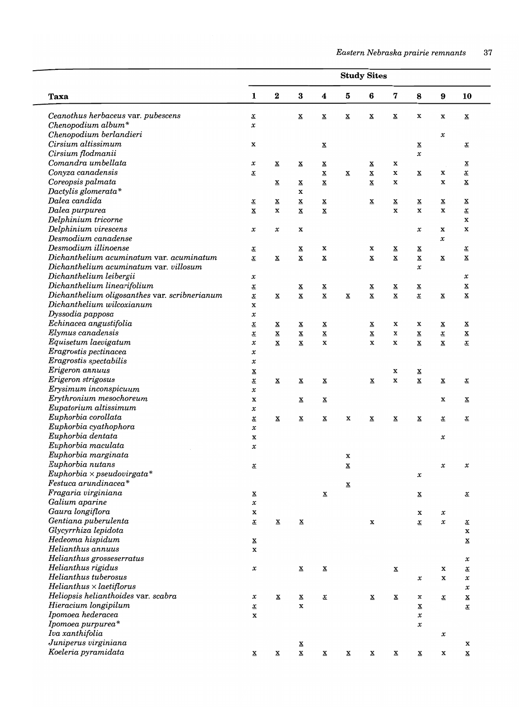|                                               | <b>Study Sites</b>                     |                          |                          |                          |                          |                          |                          |                                                      |                          |                          |  |  |  |
|-----------------------------------------------|----------------------------------------|--------------------------|--------------------------|--------------------------|--------------------------|--------------------------|--------------------------|------------------------------------------------------|--------------------------|--------------------------|--|--|--|
| Taxa                                          | 1                                      | $\bf{2}$                 | $\bf{3}$                 | 4                        | ${\bf 5}$                | 6                        | 7                        | 8                                                    | $\boldsymbol{9}$         | 10                       |  |  |  |
| Ceanothus herbaceus var. pubescens            | $\underline{\mathbf{x}}$               |                          | $\underline{\mathbf{x}}$ | $\underline{\mathbf{x}}$ | $\underline{\mathbf{x}}$ | $\underline{\mathbf{x}}$ | $\underline{\mathbf{x}}$ | X                                                    | x                        | $\underline{\mathbf{x}}$ |  |  |  |
| Chenopodium album*                            | $\pmb{\mathcal{X}}$                    |                          |                          |                          |                          |                          |                          |                                                      |                          |                          |  |  |  |
| Chenopodium berlandieri                       |                                        |                          |                          |                          |                          |                          |                          |                                                      | $\pmb{\mathcal{X}}$      |                          |  |  |  |
| Cirsium altissimum                            | X                                      |                          |                          | $\underline{\mathbf{x}}$ |                          |                          |                          | $\underline{\mathbf{x}}$                             |                          | $\underline{x}$          |  |  |  |
| Cirsium flodmanii                             |                                        |                          |                          |                          |                          |                          |                          | $\pmb{\mathcal{X}}$                                  |                          |                          |  |  |  |
| Comandra umbellata                            | $\pmb{\mathcal{X}}$                    | $\underline{\mathbf{x}}$ | $\underline{\mathbf{x}}$ | $\underline{\mathbf{x}}$ |                          | $\underline{\mathbf{x}}$ | x                        |                                                      |                          | $\underline{\mathbf{x}}$ |  |  |  |
| Conyza canadensis                             | $\underline{\mathbf{x}}$               |                          |                          | $\underline{\mathbf{x}}$ | $\underline{\mathbf{x}}$ | $\underline{\mathbf{x}}$ | x                        | $\underline{\mathbf{x}}$                             | X                        | $\underline{\mathbf{x}}$ |  |  |  |
| Coreopsis palmata                             |                                        | $\underline{\mathbf{x}}$ | $\underline{\mathbf{x}}$ | $\underline{\mathbf{x}}$ |                          | $\underline{\mathbf{x}}$ | $\mathbf x$              |                                                      | x                        | $\underline{\mathbf{x}}$ |  |  |  |
| Dactylis glomerata*                           |                                        |                          | $\mathbf x$              |                          |                          |                          |                          |                                                      |                          |                          |  |  |  |
| Dalea candida                                 | <u>x</u>                               | $\underline{\mathbf{x}}$ | $\underline{\mathbf{x}}$ | $\underline{\mathbf{x}}$ |                          | $\underline{\mathbf{x}}$ | $\underline{\mathbf{x}}$ | $\underline{\mathbf{x}}$                             | $\underline{\mathbf{x}}$ | $\underline{\mathbf{x}}$ |  |  |  |
| Dalea purpurea                                | $\underline{\mathbf{x}}$               | $\mathbf x$              | $\underline{\mathbf{x}}$ | $\underline{\mathbf{x}}$ |                          |                          | $\mathbf x$              | $\mathbf x$                                          | $\mathbf x$              | $\underline{\mathbf{x}}$ |  |  |  |
| Delphinium tricorne                           |                                        |                          |                          |                          |                          |                          |                          |                                                      |                          | X                        |  |  |  |
| Delphinium virescens                          | $\pmb{\mathcal{X}}$                    | $\pmb{\mathcal{X}}$      | X                        |                          |                          |                          |                          | $\pmb{\mathcal{X}}$                                  | x                        | X                        |  |  |  |
| Desmodium canadense                           |                                        |                          |                          |                          |                          |                          |                          |                                                      | $\pmb{\mathcal{X}}$      |                          |  |  |  |
| Desmodium illinoense                          | $\underline{x}$                        |                          | $\underline{\mathbf{x}}$ | X                        |                          | x                        | $\underline{\mathbf{x}}$ | $\underline{\mathbf{x}}$                             |                          | $\underline{\mathbf{x}}$ |  |  |  |
| Dichanthelium acuminatum var. acuminatum      | $\underline{x}$                        | $\underline{\mathbf{x}}$ | $\underline{\mathbf{x}}$ | $\underline{\mathbf{x}}$ |                          | $\underline{\mathbf{x}}$ | $\underline{\mathbf{x}}$ | $\underline{\mathbf{x}}$                             | $\underline{\mathbf{x}}$ | $\underline{\mathbf{x}}$ |  |  |  |
| Dichanthelium acuminatum var. villosum        |                                        |                          |                          |                          |                          |                          |                          | $\pmb{\mathcal{X}}$                                  |                          |                          |  |  |  |
| Dichanthelium leibergii                       | x                                      |                          |                          |                          |                          |                          |                          |                                                      |                          | $\pmb{\mathcal{X}}$      |  |  |  |
| Dichanthelium linearifolium                   | $\underline{x}$                        |                          | $\underline{\mathbf{x}}$ | $\underline{\mathbf{x}}$ |                          | $\underline{\mathbf{x}}$ | $\underline{\mathbf{x}}$ | $\underline{\mathbf{x}}$                             |                          | $\underline{\mathbf{x}}$ |  |  |  |
| Dichanthelium oligosanthes var. scribnerianum | $\underline{x}$                        | $\underline{\mathbf{x}}$ | $\underline{\mathbf{x}}$ | $\underline{\mathbf{x}}$ | $\underline{\mathbf{x}}$ | $\underline{\mathbf{x}}$ | $\underline{\mathbf{x}}$ | $\underline{x}$                                      | $\underline{\mathbf{x}}$ | $\underline{\mathbf{x}}$ |  |  |  |
| Dichanthelium wilcoxianum                     | $\mathbf x$                            |                          |                          |                          |                          |                          |                          |                                                      |                          |                          |  |  |  |
| Dyssodia papposa                              | $\pmb{\mathcal{X}}$                    |                          |                          |                          |                          |                          |                          |                                                      |                          |                          |  |  |  |
| Echinacea angustifolia                        | $\underline{x}$                        | $\underline{\mathbf{x}}$ | $\underline{\mathbf{x}}$ | $\underline{\mathbf{x}}$ |                          | $\underline{\mathbf{x}}$ | x                        | x                                                    | $\underline{\mathbf{x}}$ | $\underline{\mathbf{x}}$ |  |  |  |
| Elymus canadensis                             | $\underline{x}$                        | $\underline{\mathbf{X}}$ | $\underline{\mathbf{x}}$ | $\underline{\mathbf{X}}$ |                          | $\underline{\mathbf{x}}$ | $\mathbf x$              | $\underline{\mathbf{x}}$                             | $\underline{x}$          | $\underline{\mathbf{x}}$ |  |  |  |
| Equisetum laevigatum                          | x                                      | $\underline{\mathbf{x}}$ | $\underline{\mathbf{x}}$ | x                        |                          | $\mathbf x$              | X                        | $\underline{\mathbf{x}}$                             | $\underline{\mathbf{x}}$ | $\underline{x}$          |  |  |  |
| Eragrostis pectinacea                         | $\pmb{\mathcal{X}}$                    |                          |                          |                          |                          |                          |                          |                                                      |                          |                          |  |  |  |
| Eragrostis spectabilis                        | $\pmb{\mathcal{X}}$                    |                          |                          |                          |                          |                          |                          |                                                      |                          |                          |  |  |  |
| Erigeron annuus                               |                                        |                          |                          |                          |                          |                          | X                        |                                                      |                          |                          |  |  |  |
| Erigeron strigosus                            | $\underline{\mathbf{x}}$               | $\underline{\mathbf{x}}$ |                          |                          |                          | $\underline{\mathbf{x}}$ | X                        | $\underline{\mathbf{x}}$<br>$\underline{\mathbf{x}}$ |                          |                          |  |  |  |
| Erysimum inconspicuum                         | $\underline{x}$<br>$\pmb{\mathcal{X}}$ |                          | $\underline{\mathbf{x}}$ | $\underline{\mathbf{x}}$ |                          |                          |                          |                                                      | $\underline{\mathbf{x}}$ | $\underline{x}$          |  |  |  |
| Erythronium mesochoreum                       |                                        |                          |                          |                          |                          |                          |                          |                                                      |                          |                          |  |  |  |
| Eupatorium altissimum                         | x                                      |                          | $\underline{\mathbf{x}}$ | $\underline{\mathbf{x}}$ |                          |                          |                          |                                                      | x                        | $\underline{\mathbf{x}}$ |  |  |  |
| Euphorbia corollata                           | $\pmb{\mathcal{X}}$                    |                          |                          |                          |                          |                          |                          |                                                      |                          |                          |  |  |  |
| Euphorbia cyathophora                         | $\underline{x}$                        | $\underline{\mathbf{x}}$ | $\underline{\mathbf{x}}$ | $\underline{\mathbf{x}}$ | X                        | $\underline{\mathbf{x}}$ | $\underline{\mathbf{x}}$ | $\underline{\mathbf{x}}$                             | $\underline{x}$          | $\underline{x}$          |  |  |  |
|                                               | $\pmb{\mathcal{X}}$                    |                          |                          |                          |                          |                          |                          |                                                      |                          |                          |  |  |  |
| Euphorbia dentata                             | X                                      |                          |                          |                          |                          |                          |                          |                                                      | $\pmb{\mathcal{X}}$      |                          |  |  |  |
| Euphorbia maculata                            | $\pmb{\mathcal{X}}$                    |                          |                          |                          |                          |                          |                          |                                                      |                          |                          |  |  |  |
| Euphorbia marginata                           |                                        |                          |                          |                          | x                        |                          |                          |                                                      |                          |                          |  |  |  |
| Euphorbia nutans                              | $\underline{x}$                        |                          |                          |                          | $\underline{\mathbf{x}}$ |                          |                          |                                                      | $\pmb{\mathcal{X}}$      | $\pmb{\mathcal{X}}$      |  |  |  |
| $Euphorbia \times pseudovirgata*$             |                                        |                          |                          |                          |                          |                          |                          | $\pmb{\mathcal{X}}$                                  |                          |                          |  |  |  |
| Festuca arundinacea*                          |                                        |                          |                          |                          | $\underline{\mathbf{x}}$ |                          |                          |                                                      |                          |                          |  |  |  |
| Fragaria virginiana                           | $\underline{\mathbf{x}}$               |                          |                          | $\underline{\mathbf{x}}$ |                          |                          |                          | $\underline{\mathbf{x}}$                             |                          | $\underline{x}$          |  |  |  |
| Galium aparine                                | $\pmb{\mathcal{X}}$                    |                          |                          |                          |                          |                          |                          |                                                      |                          |                          |  |  |  |
| Gaura longiflora                              | x                                      |                          |                          |                          |                          |                          |                          | x                                                    | $\pmb{\mathcal{X}}$      |                          |  |  |  |
| Gentiana puberulenta                          | $\underline{x}$                        | $\underline{\mathbf{x}}$ | $\underline{\mathbf{x}}$ |                          |                          | x                        |                          | $\underline{\mathbf{x}}$                             | $\pmb{\mathcal{X}}$      | $\underline{x}$          |  |  |  |
| Glycyrrhiza lepidota                          |                                        |                          |                          |                          |                          |                          |                          |                                                      |                          | X                        |  |  |  |
| Hedeoma hispidum                              | $\underline{\mathbf{x}}$               |                          |                          |                          |                          |                          |                          |                                                      |                          | $\underline{\mathbf{x}}$ |  |  |  |
| Helianthus annuus                             | $\mathbf x$                            |                          |                          |                          |                          |                          |                          |                                                      |                          |                          |  |  |  |
| Helianthus grosseserratus                     |                                        |                          |                          |                          |                          |                          |                          |                                                      |                          | $\pmb{\mathcal{X}}$      |  |  |  |
| Helianthus rigidus                            | $\pmb{\mathcal{X}}$                    |                          | $\underline{\mathbf{x}}$ | $\underline{\mathbf{x}}$ |                          |                          | $\underline{\mathbf{x}}$ |                                                      | x                        | $\underline{x}$          |  |  |  |
| Helianthus tuberosus                          |                                        |                          |                          |                          |                          |                          |                          | x                                                    | $\mathbf x$              | x                        |  |  |  |
| $Helianthus \times laetiflorus$               |                                        |                          |                          |                          |                          |                          |                          |                                                      |                          | x                        |  |  |  |
| Heliopsis helianthoides var. scabra           | $\pmb{\mathcal{X}}$                    | $\underline{\mathbf{x}}$ | $\underline{\mathbf{x}}$ | $\underline{x}$          |                          | $\underline{\mathbf{x}}$ | $\underline{\mathbf{x}}$ | x                                                    | $\underline{\mathbf{x}}$ | $\underline{\mathbf{x}}$ |  |  |  |
| Hieracium longipilum                          | $\underline{x}$                        |                          | x                        |                          |                          |                          |                          | $\underline{\mathbf{x}}$                             |                          | $\underline{x}$          |  |  |  |
| Ipomoea hederacea                             | $\mathbf x$                            |                          |                          |                          |                          |                          |                          | $\pmb{\mathcal{X}}$                                  |                          |                          |  |  |  |
| Ipomoea purpurea*                             |                                        |                          |                          |                          |                          |                          |                          | $\pmb{\mathcal{X}}$                                  |                          |                          |  |  |  |
| Iva xanthifolia                               |                                        |                          |                          |                          |                          |                          |                          |                                                      | $\pmb{\mathcal{X}}$      |                          |  |  |  |
| Juniperus virginiana                          |                                        |                          | $\underline{\mathbf{x}}$ |                          |                          |                          |                          |                                                      |                          | x                        |  |  |  |
| Koeleria pyramidata                           | $\underline{\mathbf{x}}$               | $\underline{\mathbf{x}}$ | $\underline{\mathbf{x}}$ | $\underline{\mathbf{X}}$ | $\underline{\mathbf{x}}$ | $\underline{\mathbf{x}}$ | $\underline{\mathbf{x}}$ | $\underline{\mathbf{x}}$                             | x                        | $\underline{\mathbf{x}}$ |  |  |  |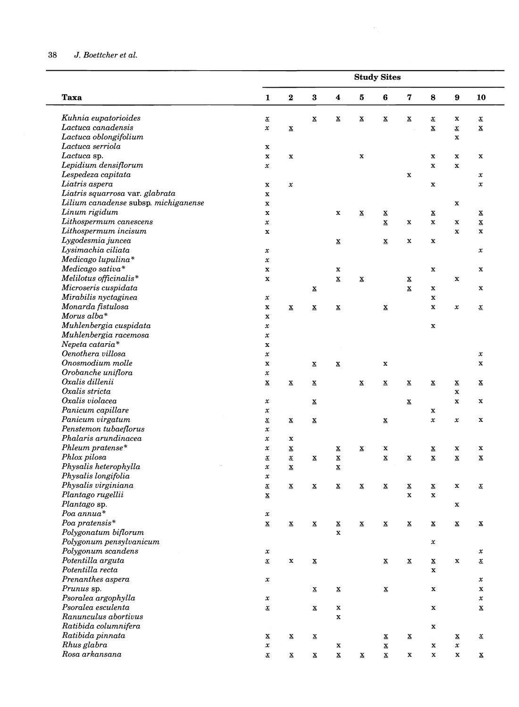# 38 J. *Boettcher et al.*

|                                      |                          |                          |                          |                          |                          | <b>Study Sites</b>       |                          |                          |                          |                          |
|--------------------------------------|--------------------------|--------------------------|--------------------------|--------------------------|--------------------------|--------------------------|--------------------------|--------------------------|--------------------------|--------------------------|
| <b>Taxa</b>                          | $\mathbf{1}$             | $\bf 2$                  | $\bf{3}$                 | $\boldsymbol{4}$         | 5                        | $\bf{6}$                 | $\bf 7$                  | 8                        | $\boldsymbol{9}$         | 10                       |
| Kuhnia eupatorioides                 | $\underline{x}$          |                          | $\underline{\mathbf{x}}$ | $\overline{\mathbf{x}}$  | $\underline{\mathbf{x}}$ | $\underline{\mathbf{x}}$ | $\underline{\mathbf{x}}$ | $\underline{x}$          | x                        | $\underline{x}$          |
| Lactuca canadensis                   | $\pmb{\mathcal{X}}$      | $\underline{\mathbf{x}}$ |                          |                          |                          |                          |                          | $\underline{\mathbf{X}}$ | $\underline{x}$          | $\underline{\mathbf{X}}$ |
| Lactuca oblongifolium                |                          |                          |                          |                          |                          |                          |                          |                          | $\mathbf x$              |                          |
| Lactuca serriola                     | $\mathbf x$              |                          |                          |                          |                          |                          |                          |                          |                          |                          |
| Lactuca sp.                          | $\mathbf x$              | $\mathbf x$              |                          |                          | $\mathbf x$              |                          |                          | $\mathbf x$              | $\mathbf x$              | $\mathbf x$              |
| Lepidium densiflorum                 | $\pmb{\mathcal{X}}$      |                          |                          |                          |                          |                          |                          | $\mathbf x$              | $\mathbf x$              |                          |
| Lespedeza capitata                   |                          |                          |                          |                          |                          |                          | $\mathbf x$              |                          |                          | $\pmb{\mathcal{X}}$      |
| Liatris aspera                       | $\mathbf x$              | $\pmb{\mathcal{X}}$      |                          |                          |                          |                          |                          | $\mathbf x$              |                          | $\pmb{\mathcal{X}}$      |
| Liatris squarrosa var. glabrata      | $\mathbf x$              |                          |                          |                          |                          |                          |                          |                          |                          |                          |
| Lilium canadense subsp. michiganense | $\mathbf x$              |                          |                          |                          |                          |                          |                          |                          | $\mathbf x$              |                          |
| Linum rigidum                        | $\mathbf x$              |                          |                          | $\mathbf x$              | $\underline{\mathbf{x}}$ | $\underline{\mathbf{x}}$ |                          | $\underline{\mathbf{x}}$ |                          | $\underline{\mathbf{x}}$ |
| Lithospermum canescens               | $\pmb{\mathcal{X}}$      |                          |                          |                          |                          | $\underline{\mathbf{x}}$ | $\mathbf x$              | $\mathbf x$              | $\mathbf x$              | $\underline{\mathbf{X}}$ |
| Lithospermum incisum                 | $\mathbf X$              |                          |                          |                          |                          |                          |                          |                          | $\mathbf x$              | $\mathbf x$              |
| Lygodesmia juncea                    |                          |                          |                          | $\underline{\mathbf{x}}$ |                          | $\underline{\mathbf{x}}$ | $\mathbf x$              | $\mathbf x$              |                          |                          |
| Lysimachia ciliata                   | $\pmb{\mathcal{X}}$      |                          |                          |                          |                          |                          |                          |                          |                          | $\pmb{\mathcal{X}}$      |
| Medicago lupulina*                   | $\pmb{\mathcal{X}}$      |                          |                          |                          |                          |                          |                          |                          |                          |                          |
| Medicago sativa*                     | $\mathbf x$              |                          |                          | $\mathbf x$              |                          |                          |                          | $\mathbf x$              |                          | $\mathbf x$              |
| Melilotus officinalis*               | $\mathbf x$              |                          |                          | $\underline{\mathbf{x}}$ | $\underline{\mathbf{x}}$ |                          | $\underline{\mathbf{X}}$ |                          | $\mathbf x$              |                          |
| Microseris cuspidata                 |                          |                          | $\underline{\mathbf{x}}$ |                          |                          |                          | $\underline{\mathbf{x}}$ | $\mathbf x$              |                          | $\mathbf x$              |
| Mirabilis nyctaginea                 | $\pmb{\mathcal{X}}$      |                          |                          |                          |                          |                          |                          | $\mathbf x$              |                          |                          |
| Monarda fistulosa                    | $\mathbf x$              |                          |                          |                          |                          |                          |                          | $\mathbf x$              | $\pmb{\mathcal{X}}$      |                          |
| Morus alba*                          |                          | $\underline{\mathbf{X}}$ | $\underline{\mathbf{x}}$ | $\underline{\mathbf{x}}$ |                          | $\underline{\mathbf{x}}$ |                          |                          |                          | $\underline{x}$          |
| Muhlenbergia cuspidata               | $\mathbf x$              |                          |                          |                          |                          |                          |                          |                          |                          |                          |
| Muhlenbergia racemosa                | $\pmb{\mathcal{X}}$      |                          |                          |                          |                          |                          |                          | $\mathbf x$              |                          |                          |
| Nepeta cataria*                      | $\pmb{\mathcal{X}}$      |                          |                          |                          |                          |                          |                          |                          |                          |                          |
| Oenothera villosa                    | $\mathbf x$              |                          |                          |                          |                          |                          |                          |                          |                          |                          |
|                                      | $\pmb{\mathcal{X}}$      |                          |                          |                          |                          |                          |                          |                          |                          | $\pmb{\mathcal{X}}$      |
| Onosmodium molle                     | $\mathbf x$              |                          | $\underline{\mathbf{X}}$ | $\underline{\mathbf{x}}$ |                          | $\mathbf x$              |                          |                          |                          | $\mathbf x$              |
| Orobanche uniflora                   | $\pmb{\mathcal{X}}$      |                          |                          |                          |                          |                          |                          |                          |                          |                          |
| Oxalis dillenii                      | $\underline{\mathbf{X}}$ | $\underline{\mathbf{x}}$ | $\underline{\mathbf{x}}$ |                          | $\underline{\mathbf{x}}$ | $\underline{\mathbf{x}}$ | $\underline{\mathbf{X}}$ | $\underline{\mathbf{x}}$ | $\underline{\mathbf{x}}$ | $\underline{\mathbf{x}}$ |
| Oxalis stricta                       |                          |                          |                          |                          |                          |                          |                          |                          | $\mathbf x$              |                          |
| Oxalis violacea                      | $\pmb{\mathcal{X}}$      |                          | $\underline{\mathbf{x}}$ |                          |                          |                          | $\underline{\mathbf{x}}$ |                          | $\mathbf x$              | $\mathbf x$              |
| Panicum capillare                    | $\pmb{\mathcal{X}}$      |                          |                          |                          |                          |                          |                          | x                        |                          |                          |
| Panicum virgatum                     | $\underline{\mathbf{x}}$ | $\underline{\mathbf{x}}$ | $\underline{\mathbf{x}}$ |                          |                          | $\underline{\mathbf{X}}$ |                          | $\pmb{\mathcal{X}}$      | x                        | $\mathbf x$              |
| Penstemon tubaeflorus                | $\pmb{\mathcal{X}}$      |                          |                          |                          |                          |                          |                          |                          |                          |                          |
| Phalaris arundinacea                 | $\pmb{\mathcal{X}}$      | $\mathbf x$              |                          |                          |                          |                          |                          |                          |                          |                          |
| Phleum pratense*                     | $\pmb{\mathcal{X}}$      | $\underline{\mathbf{x}}$ |                          | $\underline{\mathbf{x}}$ | $\underline{\mathbf{X}}$ | $\mathbf x$              |                          | $\underline{\mathbf{x}}$ | $\mathbf x$              | x                        |
| Phlox pilosa                         | $\pmb{\mathcal{X}}$      | $\underline{\mathbf{x}}$ | $\mathbf{x}$             | $\mathbf x$              |                          | $\underline{\mathbf{X}}$ | $\mathbf{x}$             | $\underline{\mathbf{x}}$ | x                        | $\mathbf x$              |
| Physalis heterophylla                | $\pmb{\mathcal{X}}$      | $\underline{\mathbf{X}}$ |                          | $\underline{\mathbf{x}}$ |                          |                          |                          |                          |                          |                          |
| Physalis longifolia                  | $\pmb{\mathcal{X}}$      |                          |                          |                          |                          |                          |                          |                          |                          |                          |
| Physalis virginiana                  | $\underline{x}$          | $\underline{\mathbf{x}}$ | $\underline{\mathbf{x}}$ | $\underline{\mathbf{x}}$ | $\underline{\mathbf{X}}$ | $\underline{\mathbf{x}}$ | $\underline{\mathbf{x}}$ | $\underline{\mathbf{x}}$ | $\mathbf x$              | $\underline{x}$          |
| Plantago rugellii                    | $\underline{\mathbf{x}}$ |                          |                          |                          |                          |                          | $\mathbf x$              | $\mathbf x$              |                          |                          |
| Plantago sp.                         |                          |                          |                          |                          |                          |                          |                          |                          | x                        |                          |
| Poa annua*                           | $\pmb{\mathcal{X}}$      |                          |                          |                          |                          |                          |                          |                          |                          |                          |
| Poa pratensis*                       | $\underline{\mathbf{x}}$ | $\underline{\mathbf{x}}$ | $\underline{\mathbf{x}}$ | $\underline{\mathbf{x}}$ | $\underline{\mathbf{x}}$ | $\underline{\mathbf{x}}$ | $\underline{\mathbf{x}}$ | $\underline{\mathbf{x}}$ | $\underline{\mathbf{x}}$ | $\underline{\mathbf{X}}$ |
| Polygonatum biflorum                 |                          |                          |                          | $\mathbf x$              |                          |                          |                          |                          |                          |                          |
| Polygonum pensylvanicum              |                          |                          |                          |                          |                          |                          |                          | $\pmb{\mathcal{X}}$      |                          |                          |
| Polygonum scandens                   | $\pmb{\mathcal{X}}$      |                          |                          |                          |                          |                          |                          |                          |                          | $\pmb{\mathcal{X}}$      |
| Potentilla arguta                    | $\underline{\mathbf{x}}$ | $\mathbf x$              | $\underline{\mathbf{x}}$ |                          |                          | $\mathbf X$              | $\underline{\mathbf{X}}$ | $\underline{\mathbf{X}}$ | $\mathbf x$              | $\underline{x}$          |
| Potentilla recta                     |                          |                          |                          |                          |                          |                          |                          | $\mathbf x$              |                          |                          |
| Prenanthes aspera                    | $\pmb{\mathcal{X}}$      |                          |                          |                          |                          |                          |                          |                          |                          | $\pmb{\mathcal{X}}$      |
| Prunus sp.                           |                          |                          | $\underline{\mathbf{x}}$ | $\underline{\mathbf{x}}$ |                          | $\underline{\mathbf{x}}$ |                          | $\mathbf X$              |                          | X                        |
| Psoralea argophylla                  | $\pmb{\mathcal{X}}$      |                          |                          |                          |                          |                          |                          |                          |                          | $\pmb{\mathcal{X}}$      |
| Psoralea esculenta                   | $\underline{x}$          |                          | $\underline{\mathbf{x}}$ | $\mathbf x$              |                          |                          |                          | $\mathbf X$              |                          | $\underline{\mathbf{x}}$ |
| Ranunculus abortivus                 |                          |                          |                          | $\mathbf x$              |                          |                          |                          |                          |                          |                          |
| Ratibida columnifera                 |                          |                          |                          |                          |                          |                          |                          | $\mathbf x$              |                          |                          |
| Ratibida pinnata                     | $\underline{\mathbf{x}}$ | $\underline{\mathbf{x}}$ | $\underline{\mathbf{X}}$ |                          |                          | $\underline{\mathbf{x}}$ | $\underline{\mathbf{X}}$ |                          | $\underline{\mathbf{X}}$ | $\underline{x}$          |
| Rhus glabra                          | $\pmb{\mathcal{X}}$      |                          |                          | X                        |                          | $\underline{\mathbf{x}}$ |                          | $\mathbf x$              | $\pmb{\mathcal{X}}$      |                          |
| Rosa arkansana                       | $\underline{\mathbf{x}}$ | $\underline{\mathbf{x}}$ | $\underline{\mathbf{X}}$ | $\underline{\mathbf{X}}$ | $\underline{\mathbf{x}}$ | $\underline{\mathbf{X}}$ | $\mathbf x$              | $\mathbf X$              | $\mathbf x$              | $\underline{\mathbf{x}}$ |
|                                      |                          |                          |                          |                          |                          |                          |                          |                          |                          |                          |

 $\sim$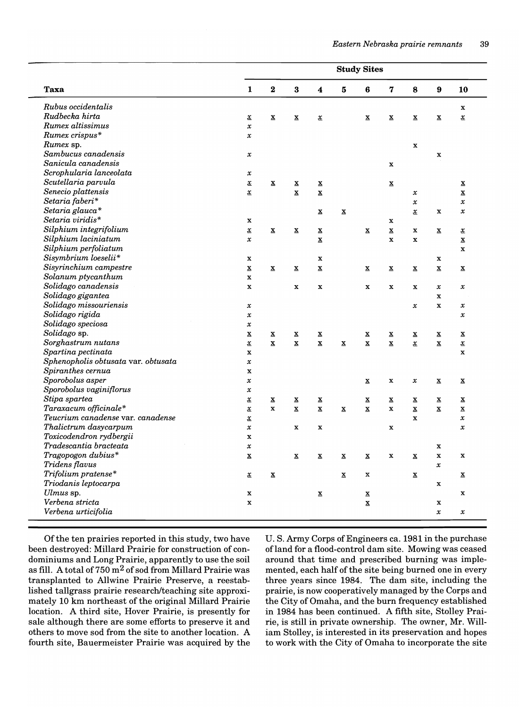|                                     | <b>Study Sites</b>           |                          |                          |                          |                          |                          |                          |                              |                          |                          |
|-------------------------------------|------------------------------|--------------------------|--------------------------|--------------------------|--------------------------|--------------------------|--------------------------|------------------------------|--------------------------|--------------------------|
| Taxa                                | 1                            | 2                        | 3                        | 4                        | 5                        | 6                        | 7                        | 8                            | 9                        | 10                       |
| Rubus occidentalis                  |                              |                          |                          |                          |                          |                          |                          |                              |                          | $\mathbf x$              |
| Rudbecka hirta                      | $\underline{\mathbf{x}}$     | $\underline{\mathbf{x}}$ | $\underline{\mathbf{x}}$ | $\underline{x}$          |                          | $\mathbf{x}$             | $\underline{\mathbf{x}}$ | $\underline{\mathbf{x}}$     | $\underline{\mathbf{x}}$ | $\underline{x}$          |
| Rumex altissimus                    | $\pmb{\mathcal{X}}$          |                          |                          |                          |                          |                          |                          |                              |                          |                          |
| Rumex crispus*                      | $\pmb{\mathcal{X}}$          |                          |                          |                          |                          |                          |                          |                              |                          |                          |
| Rumex sp.                           |                              |                          |                          |                          |                          |                          |                          | $\mathbf x$                  |                          |                          |
| Sambucus canadensis                 | $\pmb{\mathcal{X}}$          |                          |                          |                          |                          |                          |                          |                              | $\mathbf x$              |                          |
| Sanicula canadensis                 |                              |                          |                          |                          |                          |                          | $\mathbf x$              |                              |                          |                          |
| Scrophularia lanceolata             | $\pmb{\mathcal{X}}$          |                          |                          |                          |                          |                          |                          |                              |                          |                          |
| Scutellaria parvula                 | $\underline{x}$              | $\underline{\mathbf{x}}$ | $\underline{\mathbf{x}}$ | x                        |                          |                          | $\underline{\mathbf{x}}$ |                              |                          | $\overline{\mathbf{x}}$  |
| Senecio plattensis                  | $\underline{\mathbf{x}}$     |                          | $\underline{\mathbf{x}}$ | $\underline{\mathbf{x}}$ |                          |                          |                          | $\pmb{\mathcal{X}}$          |                          | $\underline{\mathbf{x}}$ |
| Setaria faberi*                     |                              |                          |                          |                          |                          |                          |                          | $\pmb{\mathcal{X}}$          |                          | $\pmb{\mathcal{X}}$      |
| Setaria glauca*                     |                              |                          |                          | $\underline{\mathbf{x}}$ | $\underline{\mathbf{x}}$ |                          |                          | $\underline{x}$              | $\mathbf x$              | $\pmb{\mathcal{X}}$      |
| Setaria viridis*                    | X                            |                          |                          |                          |                          |                          | x                        |                              |                          |                          |
| Silphium integrifolium              | $\underline{\mathbf{x}}$     | $\underline{\mathbf{x}}$ | $\underline{\mathbf{x}}$ | $\underline{\mathbf{x}}$ |                          | $\mathbf{x}$             | $\underline{\mathbf{x}}$ | x                            | $\underline{\mathbf{x}}$ | $\underline{x}$          |
| Silphium laciniatum                 | $\pmb{\mathcal{X}}$          |                          |                          | $\underline{\mathbf{x}}$ |                          |                          | $\mathbf x$              | X                            |                          | $\underline{\mathbf{x}}$ |
| Silphium perfoliatum                |                              |                          |                          |                          |                          |                          |                          |                              |                          | $\mathbf x$              |
| Sisymbrium loeselii*                | x                            |                          |                          | x                        |                          |                          |                          |                              | X                        |                          |
| Sisyrinchium campestre              | $\underline{\mathbf{x}}$     | $\underline{\mathbf{x}}$ | $\underline{\mathbf{x}}$ | $\underline{\mathbf{x}}$ |                          | $\mathbf{x}$             | $\overline{\mathbf{x}}$  | $\overline{\mathbf{x}}$      | $\underline{\mathbf{x}}$ | $\overline{\mathbf{x}}$  |
| Solanum ptycanthum                  | $\mathbf x$                  |                          |                          |                          |                          |                          |                          |                              |                          |                          |
| Solidago canadensis                 | $\mathbf x$                  |                          | $\mathbf x$              | $\mathbf x$              |                          | $\mathbf x$              | x                        | x                            | $\pmb{\chi}$             | $\pmb{\mathcal{X}}$      |
| Solidago gigantea                   |                              |                          |                          |                          |                          |                          |                          |                              | $\mathbf x$              |                          |
| Solidago missouriensis              | $\pmb{\mathcal{X}}$          |                          |                          |                          |                          |                          |                          | $\pmb{\mathcal{X}}$          | $\mathbf x$              | $\pmb{\mathcal{X}}$      |
| Solidago rigida                     | $\pmb{\mathcal{X}}$          |                          |                          |                          |                          |                          |                          |                              |                          | $\pmb{\mathcal{X}}$      |
| Solidago speciosa                   | $\pmb{\mathcal{X}}$          |                          |                          |                          |                          |                          |                          |                              |                          |                          |
| Solidago sp.                        | $\underline{\mathbf{x}}$     | x                        | x                        | x                        |                          | x                        | $\overline{\mathbf{x}}$  | x                            | $\overline{\mathbf{x}}$  | $\overline{\mathbf{x}}$  |
| Sorghastrum nutans                  | $\underline{x}$              | $\underline{\mathbf{x}}$ | $\mathbf x$              | $\underline{\mathbf{x}}$ | $\underline{\mathbf{x}}$ | $\mathbf x$              | $\underline{\mathbf{x}}$ | $\underline{\boldsymbol{x}}$ | $\underline{\mathbf{x}}$ | $\underline{x}$          |
| Spartina pectinata                  | $\mathbf x$                  |                          |                          |                          |                          |                          |                          |                              |                          | $\mathbf x$              |
| Sphenopholis obtusata var. obtusata | $\pmb{\mathcal{X}}$          |                          |                          |                          |                          |                          |                          |                              |                          |                          |
| Spiranthes cernua                   | $\mathbf x$                  |                          |                          |                          |                          |                          |                          |                              |                          |                          |
| Sporobolus asper                    | $\pmb{\mathcal{X}}$          |                          |                          |                          |                          | x                        | x                        | $\pmb{\mathcal{X}}$          | $\underline{\mathbf{x}}$ | $\underline{\mathbf{x}}$ |
| Sporobolus vaginiflorus             | $\pmb{\mathcal{X}}$          |                          |                          |                          |                          |                          |                          |                              |                          |                          |
| Stipa spartea                       | $\underline{\mathbf{x}}$     | $\underline{\mathbf{x}}$ | $\underline{\mathbf{x}}$ | $\overline{\mathbf{x}}$  |                          | x                        | $\overline{\mathbf{x}}$  | $\overline{\mathbf{x}}$      | $\overline{\mathbf{x}}$  | $\underline{\mathbf{x}}$ |
| Taraxacum officinale*               | $\underline{\boldsymbol{x}}$ | $\mathbf x$              | $\underline{\mathbf{x}}$ | $\mathbf{x}$             | $\underline{\mathbf{x}}$ | $\mathbf{x}$             | $\mathbf x$              | $\underline{\mathbf{x}}$     | $\mathbf{x}$             | $\underline{\mathbf{x}}$ |
| Teucrium canadense var. canadense   | $\underline{\mathbf{x}}$     |                          |                          |                          |                          |                          |                          | $\mathbf x$                  |                          | $\pmb{\mathcal{X}}$      |
| Thalictrum dasycarpum               | $\pmb{\mathcal{X}}$          |                          | $\mathbf x$              | $\mathbf x$              |                          |                          | x                        |                              |                          | $\pmb{\mathcal{X}}$      |
| Toxicodendron rydbergii             | x                            |                          |                          |                          |                          |                          |                          |                              |                          |                          |
| Tradescantia bracteata              | $\pmb{\mathcal{X}}$          |                          |                          |                          |                          |                          |                          |                              | $\mathbf x$              |                          |
| Tragopogon dubius*                  | $\underline{\mathbf{X}}$     |                          | $\underline{\mathbf{x}}$ | $\underline{\mathbf{x}}$ | $\underline{\mathbf{x}}$ | $\underline{\mathbf{x}}$ | X                        | $\underline{\mathbf{X}}$     | $\mathbf x$              | x                        |
| Tridens flavus                      |                              |                          |                          |                          |                          |                          |                          |                              | x                        |                          |
| Trifolium pratense*                 | $\underline{\boldsymbol{x}}$ | $\underline{\mathbf{X}}$ |                          |                          | $\underline{\mathbf{x}}$ | x                        |                          | $\underline{\mathbf{x}}$     |                          | $\underline{\mathbf{x}}$ |
| Triodanis leptocarpa                |                              |                          |                          |                          |                          |                          |                          |                              | $\mathbf x$              |                          |
| Ulmus sp.                           | x                            |                          |                          | $\underline{\mathbf{x}}$ |                          | $\underline{\mathbf{x}}$ |                          |                              |                          | $\mathbf x$              |
| Verbena stricta                     | $\mathbf x$                  |                          |                          |                          |                          | $\underline{\mathbf{x}}$ |                          |                              | $\mathbf x$              |                          |
| Verbena urticifolia                 |                              |                          |                          |                          |                          |                          |                          |                              | $\pmb{\mathcal{X}}$      | $\pmb{\mathcal{X}}$      |

been destroyed: Millard Prairie for construction of con- ofland for a flood-control dam site. Mowing was ceased dominiums and Long Prairie, apparently to use the soil around that time and prescribed burning was impleas fill. A total of 750  $m<sup>2</sup>$  of sod from Millard Prairie was mented, each half of the site being burned one in every transplanted to Allwine Prairie Preserve, a reestab- three years since 1984. The dam site, including the lished tallgrass prairie research/teaching site approxi- prairie, is now cooperatively managed by the Corps and mately 10 km northeast of the original Millard Prairie the City of Omaha, and the burn frequency established location. A third site, Hover Prairie, is presently for in 1984 has been continued. A fifth site, Stolley Praisale although there are some efforts to preserve it and rie, is still in private ownership. The owner, Mr. Willothers to move sod from the site to another location. A iam Stolley, is interested in its preservation and hopes fourth site, Bauermeister Prairie was acquired by the to work with the City of Omaha to incorporate the site

Ofthe ten prairies reported in this study, two have U. S. Army Corps of Engineers ca. 1981 in the purchase